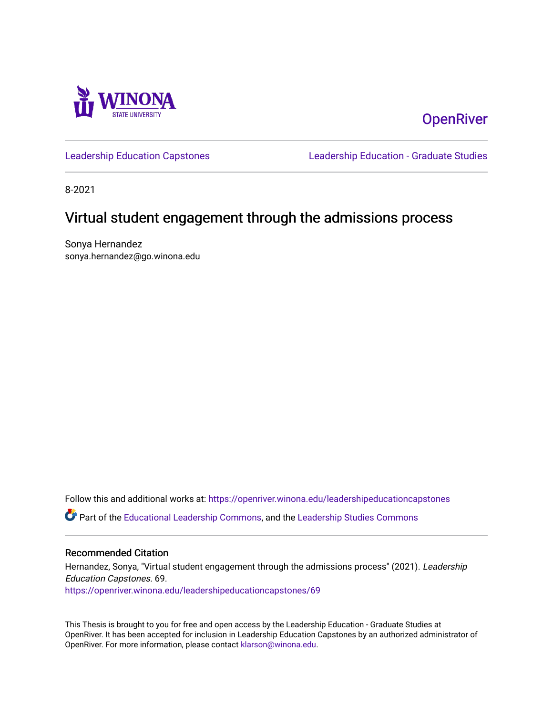

**OpenRiver** 

[Leadership Education Capstones](https://openriver.winona.edu/leadershipeducationcapstones) [Leadership Education - Graduate Studies](https://openriver.winona.edu/leadershipeducation) 

8-2021

# Virtual student engagement through the admissions process

Sonya Hernandez sonya.hernandez@go.winona.edu

Follow this and additional works at: [https://openriver.winona.edu/leadershipeducationcapstones](https://openriver.winona.edu/leadershipeducationcapstones?utm_source=openriver.winona.edu%2Fleadershipeducationcapstones%2F69&utm_medium=PDF&utm_campaign=PDFCoverPages) 

Part of the [Educational Leadership Commons,](http://network.bepress.com/hgg/discipline/1230?utm_source=openriver.winona.edu%2Fleadershipeducationcapstones%2F69&utm_medium=PDF&utm_campaign=PDFCoverPages) and the [Leadership Studies Commons](http://network.bepress.com/hgg/discipline/1250?utm_source=openriver.winona.edu%2Fleadershipeducationcapstones%2F69&utm_medium=PDF&utm_campaign=PDFCoverPages)

# Recommended Citation

Hernandez, Sonya, "Virtual student engagement through the admissions process" (2021). Leadership Education Capstones. 69. [https://openriver.winona.edu/leadershipeducationcapstones/69](https://openriver.winona.edu/leadershipeducationcapstones/69?utm_source=openriver.winona.edu%2Fleadershipeducationcapstones%2F69&utm_medium=PDF&utm_campaign=PDFCoverPages) 

This Thesis is brought to you for free and open access by the Leadership Education - Graduate Studies at OpenRiver. It has been accepted for inclusion in Leadership Education Capstones by an authorized administrator of OpenRiver. For more information, please contact [klarson@winona.edu](mailto:klarson@winona.edu).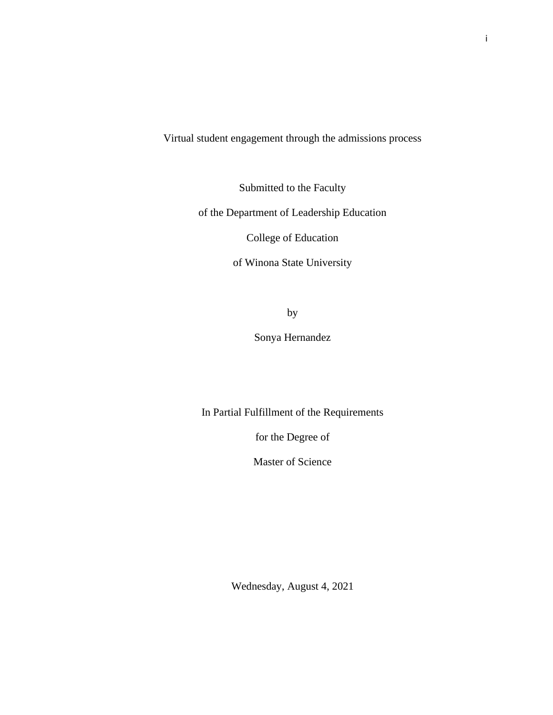Virtual student engagement through the admissions process

Submitted to the Faculty

of the Department of Leadership Education

College of Education

of Winona State University

by

Sonya Hernandez

In Partial Fulfillment of the Requirements

for the Degree of

Master of Science

Wednesday, August 4, 2021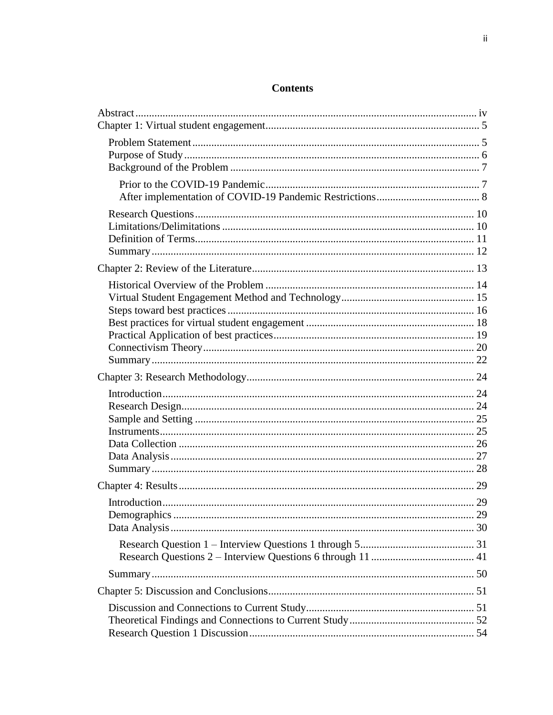# **Contents**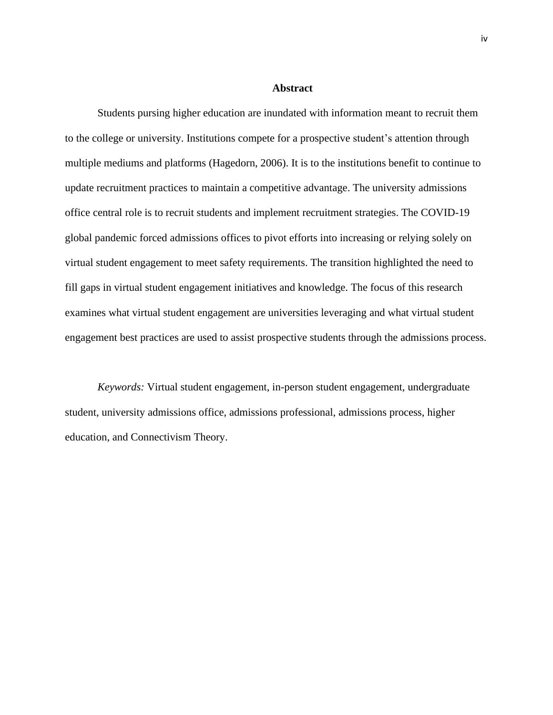#### **Abstract**

<span id="page-4-0"></span>Students pursing higher education are inundated with information meant to recruit them to the college or university. Institutions compete for a prospective student's attention through multiple mediums and platforms (Hagedorn, 2006). It is to the institutions benefit to continue to update recruitment practices to maintain a competitive advantage. The university admissions office central role is to recruit students and implement recruitment strategies. The COVID-19 global pandemic forced admissions offices to pivot efforts into increasing or relying solely on virtual student engagement to meet safety requirements. The transition highlighted the need to fill gaps in virtual student engagement initiatives and knowledge. The focus of this research examines what virtual student engagement are universities leveraging and what virtual student engagement best practices are used to assist prospective students through the admissions process.

*Keywords:* Virtual student engagement, in-person student engagement, undergraduate student, university admissions office, admissions professional, admissions process, higher education, and Connectivism Theory.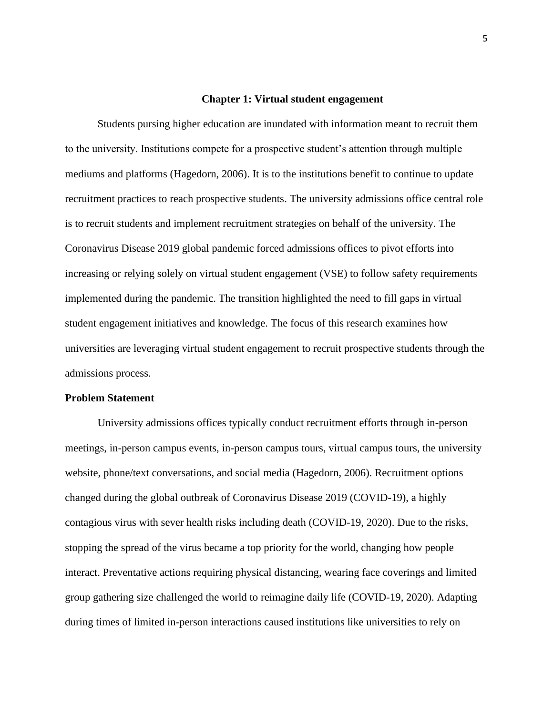#### **Chapter 1: Virtual student engagement**

<span id="page-5-0"></span>Students pursing higher education are inundated with information meant to recruit them to the university. Institutions compete for a prospective student's attention through multiple mediums and platforms (Hagedorn, 2006). It is to the institutions benefit to continue to update recruitment practices to reach prospective students. The university admissions office central role is to recruit students and implement recruitment strategies on behalf of the university. The Coronavirus Disease 2019 global pandemic forced admissions offices to pivot efforts into increasing or relying solely on virtual student engagement (VSE) to follow safety requirements implemented during the pandemic. The transition highlighted the need to fill gaps in virtual student engagement initiatives and knowledge. The focus of this research examines how universities are leveraging virtual student engagement to recruit prospective students through the admissions process.

#### <span id="page-5-1"></span>**Problem Statement**

University admissions offices typically conduct recruitment efforts through in-person meetings, in-person campus events, in-person campus tours, virtual campus tours, the university website, phone/text conversations, and social media (Hagedorn, 2006). Recruitment options changed during the global outbreak of Coronavirus Disease 2019 (COVID-19), a highly contagious virus with sever health risks including death (COVID-19, 2020). Due to the risks, stopping the spread of the virus became a top priority for the world, changing how people interact. Preventative actions requiring physical distancing, wearing face coverings and limited group gathering size challenged the world to reimagine daily life (COVID-19, 2020). Adapting during times of limited in-person interactions caused institutions like universities to rely on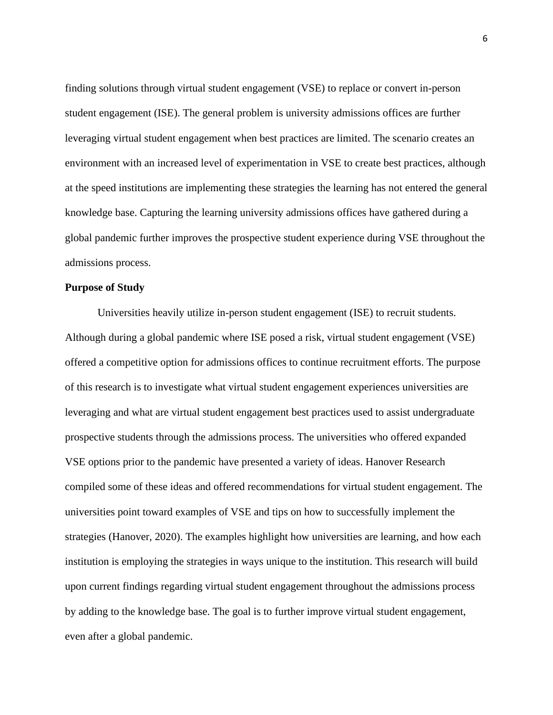finding solutions through virtual student engagement (VSE) to replace or convert in-person student engagement (ISE). The general problem is university admissions offices are further leveraging virtual student engagement when best practices are limited. The scenario creates an environment with an increased level of experimentation in VSE to create best practices, although at the speed institutions are implementing these strategies the learning has not entered the general knowledge base. Capturing the learning university admissions offices have gathered during a global pandemic further improves the prospective student experience during VSE throughout the admissions process.

#### <span id="page-6-0"></span>**Purpose of Study**

Universities heavily utilize in-person student engagement (ISE) to recruit students. Although during a global pandemic where ISE posed a risk, virtual student engagement (VSE) offered a competitive option for admissions offices to continue recruitment efforts. The purpose of this research is to investigate what virtual student engagement experiences universities are leveraging and what are virtual student engagement best practices used to assist undergraduate prospective students through the admissions process. The universities who offered expanded VSE options prior to the pandemic have presented a variety of ideas. Hanover Research compiled some of these ideas and offered recommendations for virtual student engagement. The universities point toward examples of VSE and tips on how to successfully implement the strategies (Hanover, 2020). The examples highlight how universities are learning, and how each institution is employing the strategies in ways unique to the institution. This research will build upon current findings regarding virtual student engagement throughout the admissions process by adding to the knowledge base. The goal is to further improve virtual student engagement, even after a global pandemic.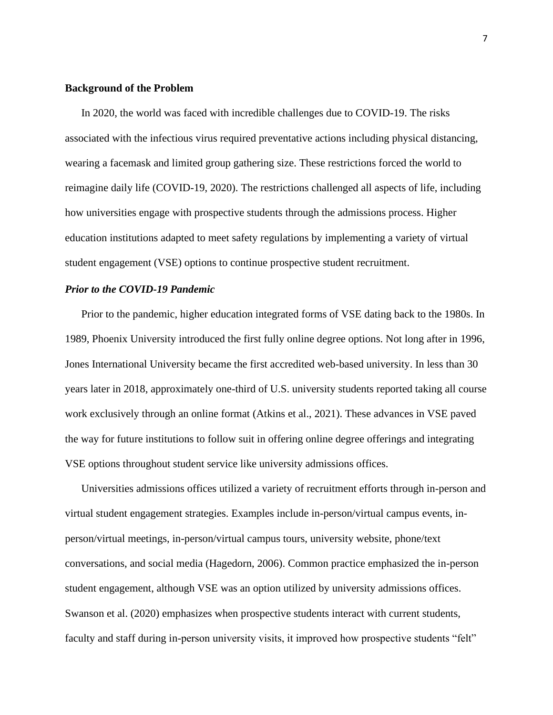#### <span id="page-7-0"></span>**Background of the Problem**

In 2020, the world was faced with incredible challenges due to COVID-19. The risks associated with the infectious virus required preventative actions including physical distancing, wearing a facemask and limited group gathering size. These restrictions forced the world to reimagine daily life (COVID-19, 2020). The restrictions challenged all aspects of life, including how universities engage with prospective students through the admissions process. Higher education institutions adapted to meet safety regulations by implementing a variety of virtual student engagement (VSE) options to continue prospective student recruitment.

# <span id="page-7-1"></span>*Prior to the COVID-19 Pandemic*

Prior to the pandemic, higher education integrated forms of VSE dating back to the 1980s. In 1989, Phoenix University introduced the first fully online degree options. Not long after in 1996, Jones International University became the first accredited web-based university. In less than 30 years later in 2018, approximately one-third of U.S. university students reported taking all course work exclusively through an online format (Atkins et al., 2021). These advances in VSE paved the way for future institutions to follow suit in offering online degree offerings and integrating VSE options throughout student service like university admissions offices.

Universities admissions offices utilized a variety of recruitment efforts through in-person and virtual student engagement strategies. Examples include in-person/virtual campus events, inperson/virtual meetings, in-person/virtual campus tours, university website, phone/text conversations, and social media (Hagedorn, 2006). Common practice emphasized the in-person student engagement, although VSE was an option utilized by university admissions offices. Swanson et al. (2020) emphasizes when prospective students interact with current students, faculty and staff during in-person university visits, it improved how prospective students "felt"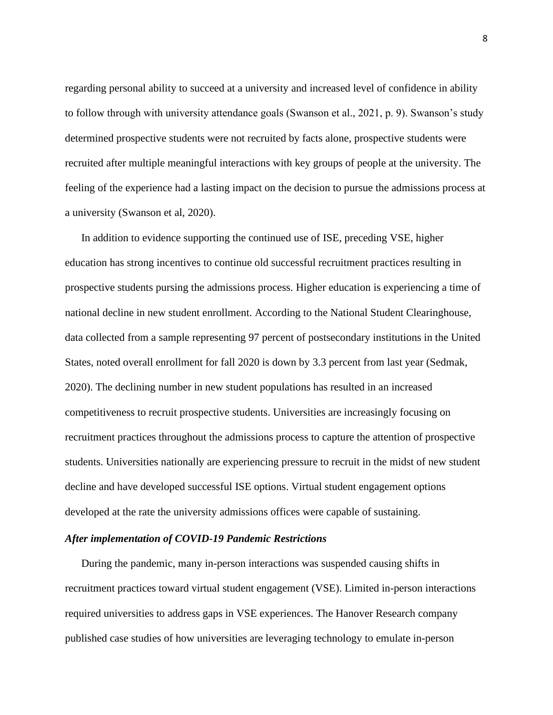regarding personal ability to succeed at a university and increased level of confidence in ability to follow through with university attendance goals (Swanson et al., 2021, p. 9). Swanson's study determined prospective students were not recruited by facts alone, prospective students were recruited after multiple meaningful interactions with key groups of people at the university. The feeling of the experience had a lasting impact on the decision to pursue the admissions process at a university (Swanson et al, 2020).

In addition to evidence supporting the continued use of ISE, preceding VSE, higher education has strong incentives to continue old successful recruitment practices resulting in prospective students pursing the admissions process. Higher education is experiencing a time of national decline in new student enrollment. According to the National Student Clearinghouse, data collected from a sample representing 97 percent of postsecondary institutions in the United States, noted overall enrollment for fall 2020 is down by 3.3 percent from last year (Sedmak, 2020). The declining number in new student populations has resulted in an increased competitiveness to recruit prospective students. Universities are increasingly focusing on recruitment practices throughout the admissions process to capture the attention of prospective students. Universities nationally are experiencing pressure to recruit in the midst of new student decline and have developed successful ISE options. Virtual student engagement options developed at the rate the university admissions offices were capable of sustaining.

#### <span id="page-8-0"></span>*After implementation of COVID-19 Pandemic Restrictions*

During the pandemic, many in-person interactions was suspended causing shifts in recruitment practices toward virtual student engagement (VSE). Limited in-person interactions required universities to address gaps in VSE experiences. The Hanover Research company published case studies of how universities are leveraging technology to emulate in-person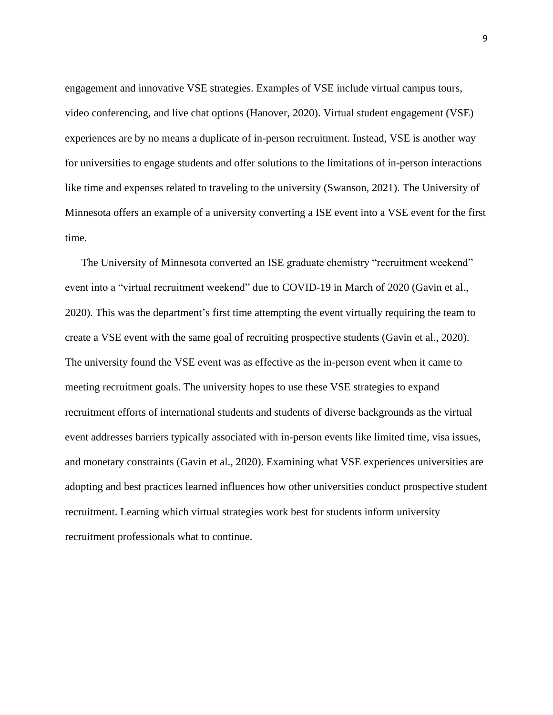engagement and innovative VSE strategies. Examples of VSE include virtual campus tours, video conferencing, and live chat options (Hanover, 2020). Virtual student engagement (VSE) experiences are by no means a duplicate of in-person recruitment. Instead, VSE is another way for universities to engage students and offer solutions to the limitations of in-person interactions like time and expenses related to traveling to the university (Swanson, 2021). The University of Minnesota offers an example of a university converting a ISE event into a VSE event for the first time.

The University of Minnesota converted an ISE graduate chemistry "recruitment weekend" event into a "virtual recruitment weekend" due to COVID-19 in March of 2020 (Gavin et al., 2020). This was the department's first time attempting the event virtually requiring the team to create a VSE event with the same goal of recruiting prospective students (Gavin et al., 2020). The university found the VSE event was as effective as the in-person event when it came to meeting recruitment goals. The university hopes to use these VSE strategies to expand recruitment efforts of international students and students of diverse backgrounds as the virtual event addresses barriers typically associated with in-person events like limited time, visa issues, and monetary constraints (Gavin et al., 2020). Examining what VSE experiences universities are adopting and best practices learned influences how other universities conduct prospective student recruitment. Learning which virtual strategies work best for students inform university recruitment professionals what to continue.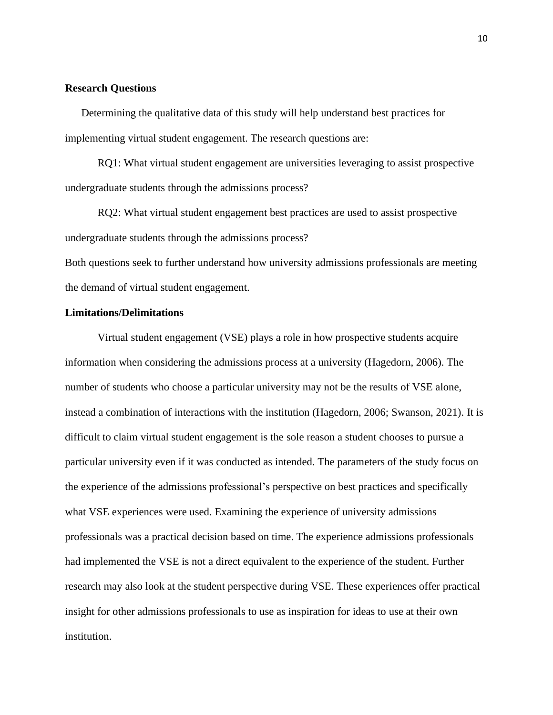# <span id="page-10-0"></span>**Research Questions**

Determining the qualitative data of this study will help understand best practices for implementing virtual student engagement. The research questions are:

RQ1: What virtual student engagement are universities leveraging to assist prospective undergraduate students through the admissions process?

RQ2: What virtual student engagement best practices are used to assist prospective undergraduate students through the admissions process?

Both questions seek to further understand how university admissions professionals are meeting the demand of virtual student engagement.

# <span id="page-10-1"></span>**Limitations/Delimitations**

Virtual student engagement (VSE) plays a role in how prospective students acquire information when considering the admissions process at a university (Hagedorn, 2006). The number of students who choose a particular university may not be the results of VSE alone, instead a combination of interactions with the institution (Hagedorn, 2006; Swanson, 2021). It is difficult to claim virtual student engagement is the sole reason a student chooses to pursue a particular university even if it was conducted as intended. The parameters of the study focus on the experience of the admissions professional's perspective on best practices and specifically what VSE experiences were used. Examining the experience of university admissions professionals was a practical decision based on time. The experience admissions professionals had implemented the VSE is not a direct equivalent to the experience of the student. Further research may also look at the student perspective during VSE. These experiences offer practical insight for other admissions professionals to use as inspiration for ideas to use at their own institution.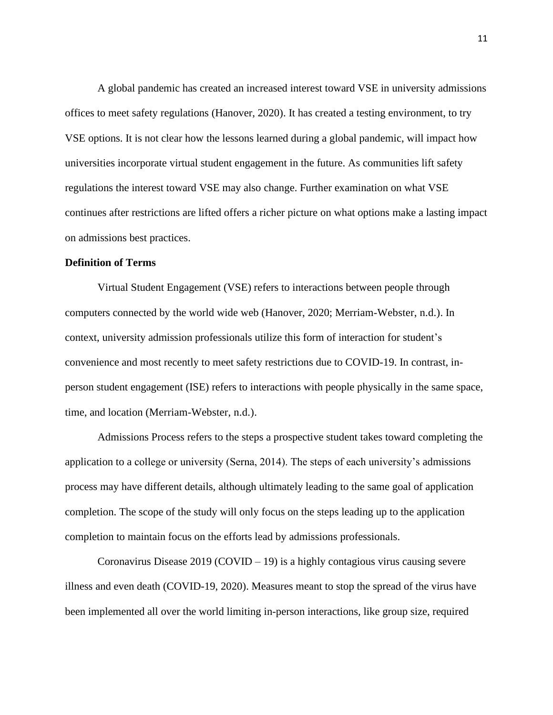A global pandemic has created an increased interest toward VSE in university admissions offices to meet safety regulations (Hanover, 2020). It has created a testing environment, to try VSE options. It is not clear how the lessons learned during a global pandemic, will impact how universities incorporate virtual student engagement in the future. As communities lift safety regulations the interest toward VSE may also change. Further examination on what VSE continues after restrictions are lifted offers a richer picture on what options make a lasting impact on admissions best practices.

#### <span id="page-11-0"></span>**Definition of Terms**

Virtual Student Engagement (VSE) refers to interactions between people through computers connected by the world wide web (Hanover, 2020; Merriam-Webster, n.d.). In context, university admission professionals utilize this form of interaction for student's convenience and most recently to meet safety restrictions due to COVID-19. In contrast, inperson student engagement (ISE) refers to interactions with people physically in the same space, time, and location (Merriam-Webster, n.d.).

Admissions Process refers to the steps a prospective student takes toward completing the application to a college or university (Serna, 2014). The steps of each university's admissions process may have different details, although ultimately leading to the same goal of application completion. The scope of the study will only focus on the steps leading up to the application completion to maintain focus on the efforts lead by admissions professionals.

Coronavirus Disease  $2019$  (COVID – 19) is a highly contagious virus causing severe illness and even death (COVID-19, 2020). Measures meant to stop the spread of the virus have been implemented all over the world limiting in-person interactions, like group size, required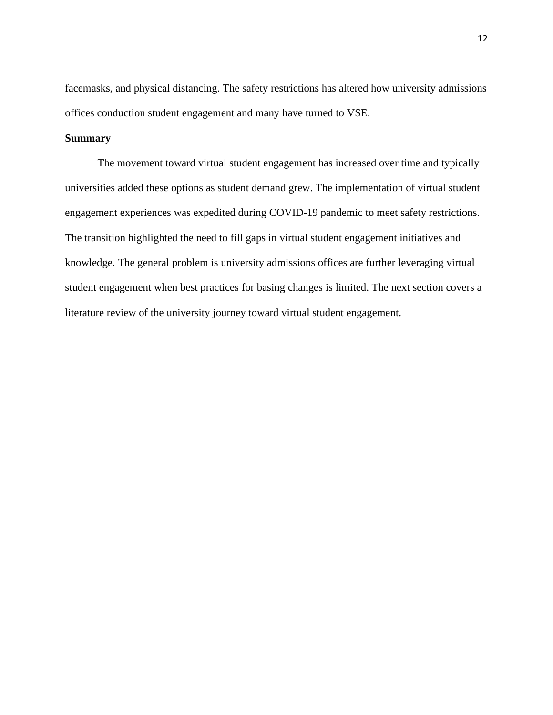facemasks, and physical distancing. The safety restrictions has altered how university admissions offices conduction student engagement and many have turned to VSE.

# <span id="page-12-0"></span>**Summary**

The movement toward virtual student engagement has increased over time and typically universities added these options as student demand grew. The implementation of virtual student engagement experiences was expedited during COVID-19 pandemic to meet safety restrictions. The transition highlighted the need to fill gaps in virtual student engagement initiatives and knowledge. The general problem is university admissions offices are further leveraging virtual student engagement when best practices for basing changes is limited. The next section covers a literature review of the university journey toward virtual student engagement.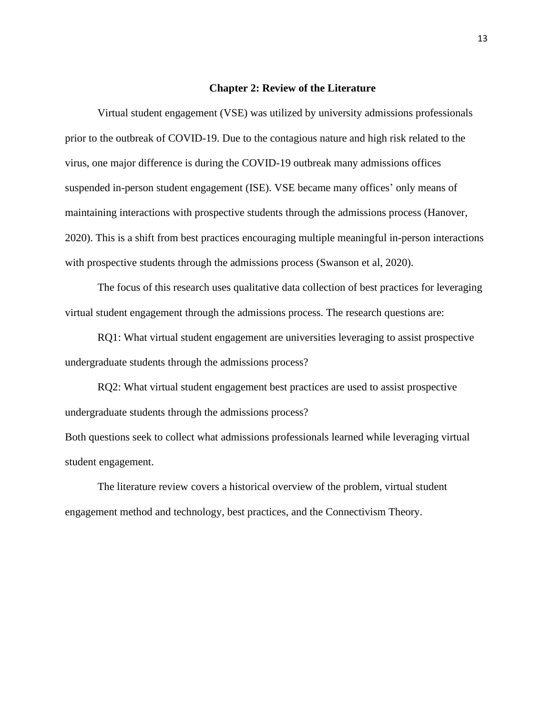#### **Chapter 2: Review of the Literature**

<span id="page-13-0"></span>Virtual student engagement (VSE) was utilized by university admissions professionals prior to the outbreak of COVID-19. Due to the contagious nature and high risk related to the virus, one major difference is during the COVID-19 outbreak many admissions offices suspended in-person student engagement (ISE). VSE became many offices' only means of maintaining interactions with prospective students through the admissions process (Hanover, 2020). This is a shift from best practices encouraging multiple meaningful in-person interactions with prospective students through the admissions process (Swanson et al, 2020).

The focus of this research uses qualitative data collection of best practices for leveraging virtual student engagement through the admissions process. The research questions are:

RQ1: What virtual student engagement are universities leveraging to assist prospective undergraduate students through the admissions process?

RQ2: What virtual student engagement best practices are used to assist prospective undergraduate students through the admissions process?

Both questions seek to collect what admissions professionals learned while leveraging virtual student engagement.

The literature review covers a historical overview of the problem, virtual student engagement method and technology, best practices, and the Connectivism Theory.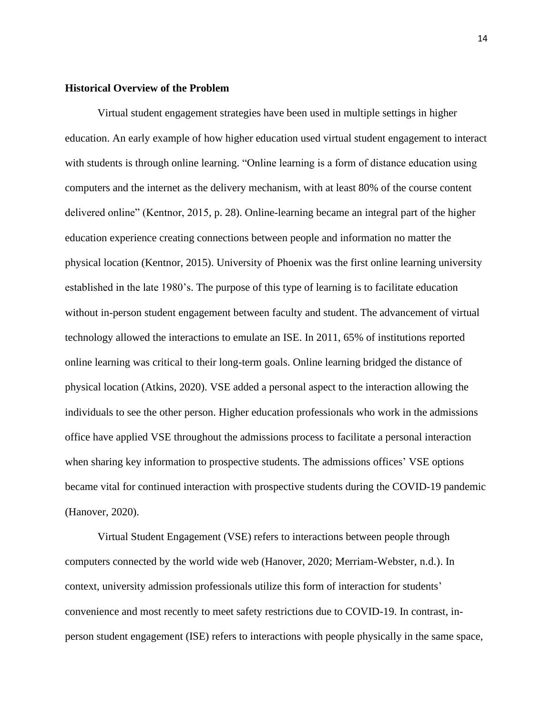#### <span id="page-14-0"></span>**Historical Overview of the Problem**

Virtual student engagement strategies have been used in multiple settings in higher education. An early example of how higher education used virtual student engagement to interact with students is through online learning. "Online learning is a form of distance education using computers and the internet as the delivery mechanism, with at least 80% of the course content delivered online" (Kentnor, 2015, p. 28). Online-learning became an integral part of the higher education experience creating connections between people and information no matter the physical location (Kentnor, 2015). University of Phoenix was the first online learning university established in the late 1980's. The purpose of this type of learning is to facilitate education without in-person student engagement between faculty and student. The advancement of virtual technology allowed the interactions to emulate an ISE. In 2011, 65% of institutions reported online learning was critical to their long-term goals. Online learning bridged the distance of physical location (Atkins, 2020). VSE added a personal aspect to the interaction allowing the individuals to see the other person. Higher education professionals who work in the admissions office have applied VSE throughout the admissions process to facilitate a personal interaction when sharing key information to prospective students. The admissions offices' VSE options became vital for continued interaction with prospective students during the COVID-19 pandemic (Hanover, 2020).

Virtual Student Engagement (VSE) refers to interactions between people through computers connected by the world wide web (Hanover, 2020; Merriam-Webster, n.d.). In context, university admission professionals utilize this form of interaction for students' convenience and most recently to meet safety restrictions due to COVID-19. In contrast, inperson student engagement (ISE) refers to interactions with people physically in the same space,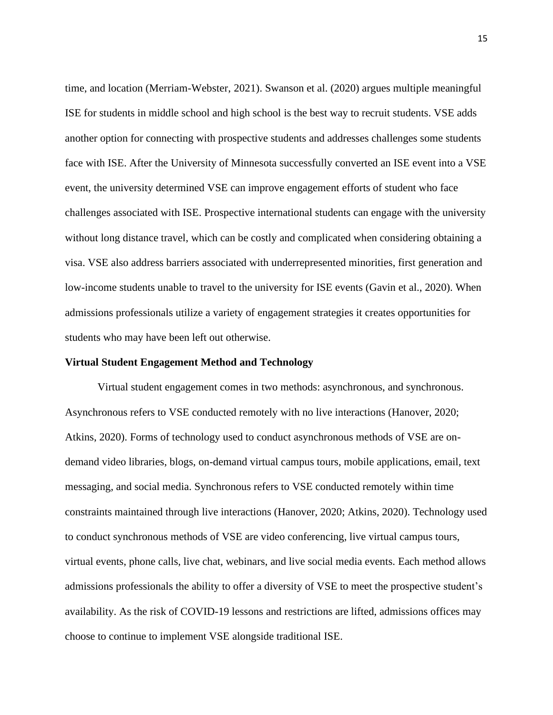time, and location (Merriam-Webster, 2021). Swanson et al. (2020) argues multiple meaningful ISE for students in middle school and high school is the best way to recruit students. VSE adds another option for connecting with prospective students and addresses challenges some students face with ISE. After the University of Minnesota successfully converted an ISE event into a VSE event, the university determined VSE can improve engagement efforts of student who face challenges associated with ISE. Prospective international students can engage with the university without long distance travel, which can be costly and complicated when considering obtaining a visa. VSE also address barriers associated with underrepresented minorities, first generation and low-income students unable to travel to the university for ISE events (Gavin et al., 2020). When admissions professionals utilize a variety of engagement strategies it creates opportunities for students who may have been left out otherwise.

#### <span id="page-15-0"></span>**Virtual Student Engagement Method and Technology**

Virtual student engagement comes in two methods: asynchronous, and synchronous. Asynchronous refers to VSE conducted remotely with no live interactions (Hanover, 2020; Atkins, 2020). Forms of technology used to conduct asynchronous methods of VSE are ondemand video libraries, blogs, on-demand virtual campus tours, mobile applications, email, text messaging, and social media. Synchronous refers to VSE conducted remotely within time constraints maintained through live interactions (Hanover, 2020; Atkins, 2020). Technology used to conduct synchronous methods of VSE are video conferencing, live virtual campus tours, virtual events, phone calls, live chat, webinars, and live social media events. Each method allows admissions professionals the ability to offer a diversity of VSE to meet the prospective student's availability. As the risk of COVID-19 lessons and restrictions are lifted, admissions offices may choose to continue to implement VSE alongside traditional ISE.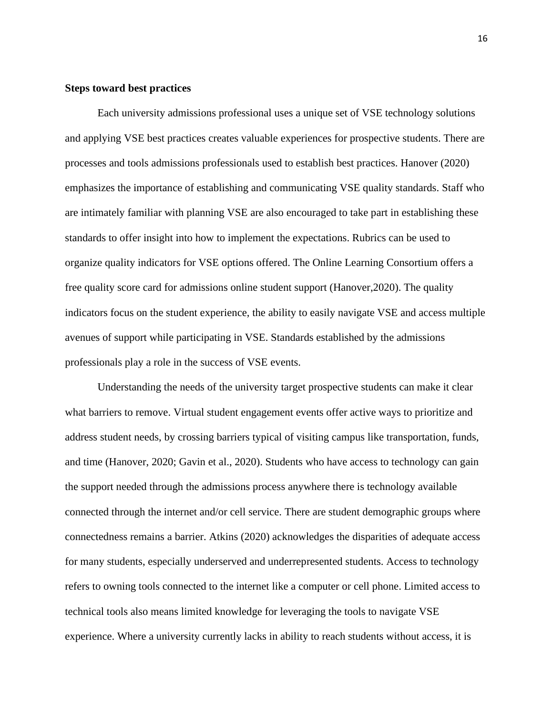### <span id="page-16-0"></span>**Steps toward best practices**

Each university admissions professional uses a unique set of VSE technology solutions and applying VSE best practices creates valuable experiences for prospective students. There are processes and tools admissions professionals used to establish best practices. Hanover (2020) emphasizes the importance of establishing and communicating VSE quality standards. Staff who are intimately familiar with planning VSE are also encouraged to take part in establishing these standards to offer insight into how to implement the expectations. Rubrics can be used to organize quality indicators for VSE options offered. The Online Learning Consortium offers a free quality score card for admissions online student support (Hanover,2020). The quality indicators focus on the student experience, the ability to easily navigate VSE and access multiple avenues of support while participating in VSE. Standards established by the admissions professionals play a role in the success of VSE events.

Understanding the needs of the university target prospective students can make it clear what barriers to remove. Virtual student engagement events offer active ways to prioritize and address student needs, by crossing barriers typical of visiting campus like transportation, funds, and time (Hanover, 2020; Gavin et al., 2020). Students who have access to technology can gain the support needed through the admissions process anywhere there is technology available connected through the internet and/or cell service. There are student demographic groups where connectedness remains a barrier. Atkins (2020) acknowledges the disparities of adequate access for many students, especially underserved and underrepresented students. Access to technology refers to owning tools connected to the internet like a computer or cell phone. Limited access to technical tools also means limited knowledge for leveraging the tools to navigate VSE experience. Where a university currently lacks in ability to reach students without access, it is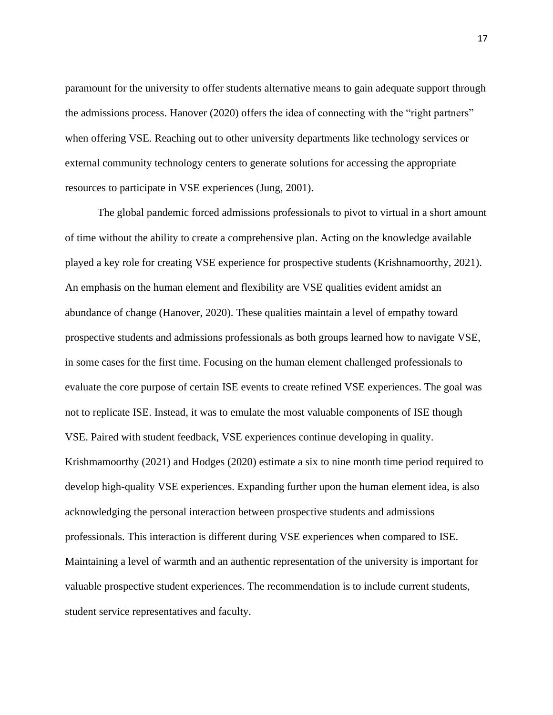paramount for the university to offer students alternative means to gain adequate support through the admissions process. Hanover (2020) offers the idea of connecting with the "right partners" when offering VSE. Reaching out to other university departments like technology services or external community technology centers to generate solutions for accessing the appropriate resources to participate in VSE experiences (Jung, 2001).

The global pandemic forced admissions professionals to pivot to virtual in a short amount of time without the ability to create a comprehensive plan. Acting on the knowledge available played a key role for creating VSE experience for prospective students (Krishnamoorthy, 2021). An emphasis on the human element and flexibility are VSE qualities evident amidst an abundance of change (Hanover, 2020). These qualities maintain a level of empathy toward prospective students and admissions professionals as both groups learned how to navigate VSE, in some cases for the first time. Focusing on the human element challenged professionals to evaluate the core purpose of certain ISE events to create refined VSE experiences. The goal was not to replicate ISE. Instead, it was to emulate the most valuable components of ISE though VSE. Paired with student feedback, VSE experiences continue developing in quality. Krishmamoorthy (2021) and Hodges (2020) estimate a six to nine month time period required to develop high-quality VSE experiences. Expanding further upon the human element idea, is also acknowledging the personal interaction between prospective students and admissions professionals. This interaction is different during VSE experiences when compared to ISE. Maintaining a level of warmth and an authentic representation of the university is important for valuable prospective student experiences. The recommendation is to include current students, student service representatives and faculty.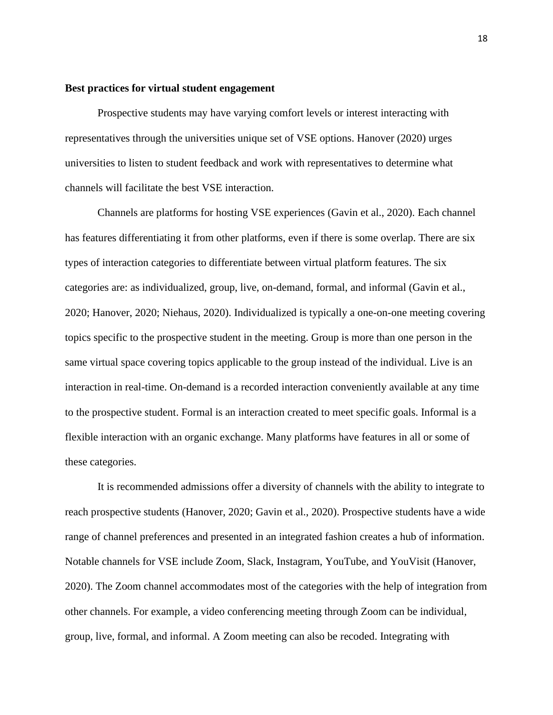#### <span id="page-18-0"></span>**Best practices for virtual student engagement**

Prospective students may have varying comfort levels or interest interacting with representatives through the universities unique set of VSE options. Hanover (2020) urges universities to listen to student feedback and work with representatives to determine what channels will facilitate the best VSE interaction.

Channels are platforms for hosting VSE experiences (Gavin et al., 2020). Each channel has features differentiating it from other platforms, even if there is some overlap. There are six types of interaction categories to differentiate between virtual platform features. The six categories are: as individualized, group, live, on-demand, formal, and informal (Gavin et al., 2020; Hanover, 2020; Niehaus, 2020). Individualized is typically a one-on-one meeting covering topics specific to the prospective student in the meeting. Group is more than one person in the same virtual space covering topics applicable to the group instead of the individual. Live is an interaction in real-time. On-demand is a recorded interaction conveniently available at any time to the prospective student. Formal is an interaction created to meet specific goals. Informal is a flexible interaction with an organic exchange. Many platforms have features in all or some of these categories.

It is recommended admissions offer a diversity of channels with the ability to integrate to reach prospective students (Hanover, 2020; Gavin et al., 2020). Prospective students have a wide range of channel preferences and presented in an integrated fashion creates a hub of information. Notable channels for VSE include Zoom, Slack, Instagram, YouTube, and YouVisit (Hanover, 2020). The Zoom channel accommodates most of the categories with the help of integration from other channels. For example, a video conferencing meeting through Zoom can be individual, group, live, formal, and informal. A Zoom meeting can also be recoded. Integrating with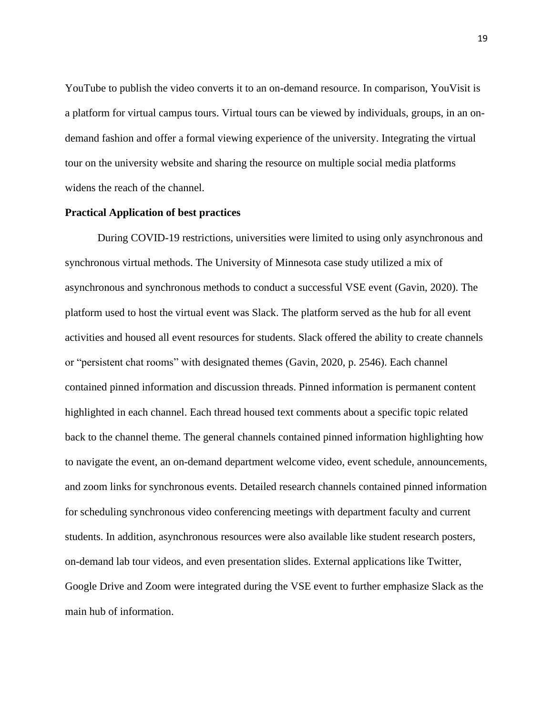YouTube to publish the video converts it to an on-demand resource. In comparison, YouVisit is a platform for virtual campus tours. Virtual tours can be viewed by individuals, groups, in an ondemand fashion and offer a formal viewing experience of the university. Integrating the virtual tour on the university website and sharing the resource on multiple social media platforms widens the reach of the channel.

#### <span id="page-19-0"></span>**Practical Application of best practices**

During COVID-19 restrictions, universities were limited to using only asynchronous and synchronous virtual methods. The University of Minnesota case study utilized a mix of asynchronous and synchronous methods to conduct a successful VSE event (Gavin, 2020). The platform used to host the virtual event was Slack. The platform served as the hub for all event activities and housed all event resources for students. Slack offered the ability to create channels or "persistent chat rooms" with designated themes (Gavin, 2020, p. 2546). Each channel contained pinned information and discussion threads. Pinned information is permanent content highlighted in each channel. Each thread housed text comments about a specific topic related back to the channel theme. The general channels contained pinned information highlighting how to navigate the event, an on-demand department welcome video, event schedule, announcements, and zoom links for synchronous events. Detailed research channels contained pinned information for scheduling synchronous video conferencing meetings with department faculty and current students. In addition, asynchronous resources were also available like student research posters, on-demand lab tour videos, and even presentation slides. External applications like Twitter, Google Drive and Zoom were integrated during the VSE event to further emphasize Slack as the main hub of information.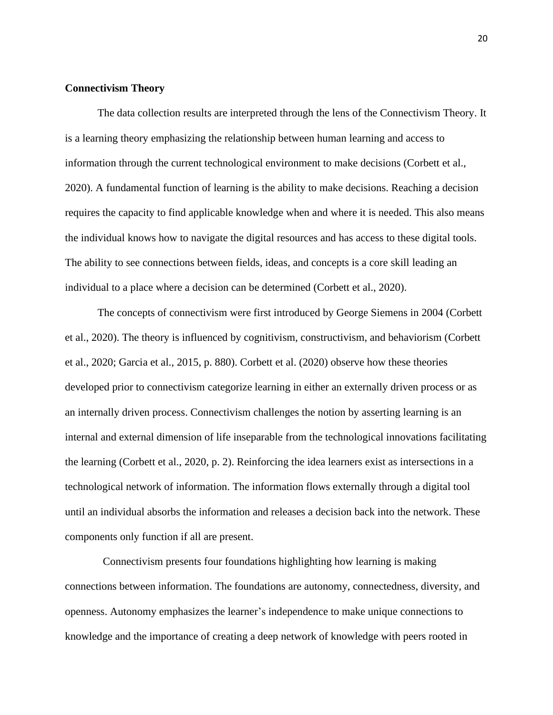#### <span id="page-20-0"></span>**Connectivism Theory**

The data collection results are interpreted through the lens of the Connectivism Theory. It is a learning theory emphasizing the relationship between human learning and access to information through the current technological environment to make decisions (Corbett et al., 2020). A fundamental function of learning is the ability to make decisions. Reaching a decision requires the capacity to find applicable knowledge when and where it is needed. This also means the individual knows how to navigate the digital resources and has access to these digital tools. The ability to see connections between fields, ideas, and concepts is a core skill leading an individual to a place where a decision can be determined (Corbett et al., 2020).

The concepts of connectivism were first introduced by George Siemens in 2004 (Corbett et al., 2020). The theory is influenced by cognitivism, constructivism, and behaviorism (Corbett et al., 2020; Garcia et al., 2015, p. 880). Corbett et al. (2020) observe how these theories developed prior to connectivism categorize learning in either an externally driven process or as an internally driven process. Connectivism challenges the notion by asserting learning is an internal and external dimension of life inseparable from the technological innovations facilitating the learning (Corbett et al., 2020, p. 2). Reinforcing the idea learners exist as intersections in a technological network of information. The information flows externally through a digital tool until an individual absorbs the information and releases a decision back into the network. These components only function if all are present.

Connectivism presents four foundations highlighting how learning is making connections between information. The foundations are autonomy, connectedness, diversity, and openness. Autonomy emphasizes the learner's independence to make unique connections to knowledge and the importance of creating a deep network of knowledge with peers rooted in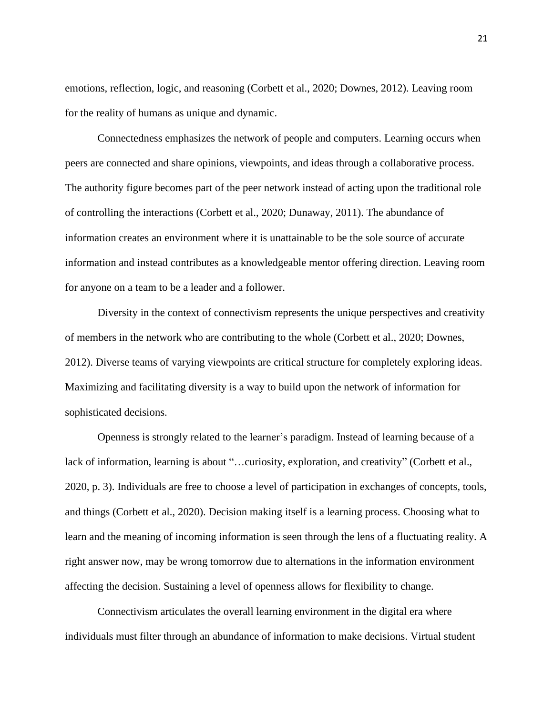emotions, reflection, logic, and reasoning (Corbett et al., 2020; Downes, 2012). Leaving room for the reality of humans as unique and dynamic.

Connectedness emphasizes the network of people and computers. Learning occurs when peers are connected and share opinions, viewpoints, and ideas through a collaborative process. The authority figure becomes part of the peer network instead of acting upon the traditional role of controlling the interactions (Corbett et al., 2020; Dunaway, 2011). The abundance of information creates an environment where it is unattainable to be the sole source of accurate information and instead contributes as a knowledgeable mentor offering direction. Leaving room for anyone on a team to be a leader and a follower.

Diversity in the context of connectivism represents the unique perspectives and creativity of members in the network who are contributing to the whole (Corbett et al., 2020; Downes, 2012). Diverse teams of varying viewpoints are critical structure for completely exploring ideas. Maximizing and facilitating diversity is a way to build upon the network of information for sophisticated decisions.

Openness is strongly related to the learner's paradigm. Instead of learning because of a lack of information, learning is about "...curiosity, exploration, and creativity" (Corbett et al., 2020, p. 3). Individuals are free to choose a level of participation in exchanges of concepts, tools, and things (Corbett et al., 2020). Decision making itself is a learning process. Choosing what to learn and the meaning of incoming information is seen through the lens of a fluctuating reality. A right answer now, may be wrong tomorrow due to alternations in the information environment affecting the decision. Sustaining a level of openness allows for flexibility to change.

Connectivism articulates the overall learning environment in the digital era where individuals must filter through an abundance of information to make decisions. Virtual student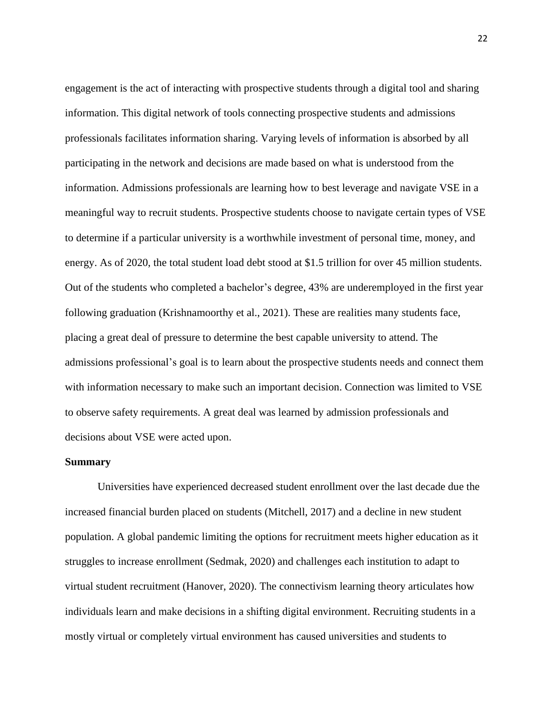engagement is the act of interacting with prospective students through a digital tool and sharing information. This digital network of tools connecting prospective students and admissions professionals facilitates information sharing. Varying levels of information is absorbed by all participating in the network and decisions are made based on what is understood from the information. Admissions professionals are learning how to best leverage and navigate VSE in a meaningful way to recruit students. Prospective students choose to navigate certain types of VSE to determine if a particular university is a worthwhile investment of personal time, money, and energy. As of 2020, the total student load debt stood at \$1.5 trillion for over 45 million students. Out of the students who completed a bachelor's degree, 43% are underemployed in the first year following graduation (Krishnamoorthy et al., 2021). These are realities many students face, placing a great deal of pressure to determine the best capable university to attend. The admissions professional's goal is to learn about the prospective students needs and connect them with information necessary to make such an important decision. Connection was limited to VSE to observe safety requirements. A great deal was learned by admission professionals and decisions about VSE were acted upon.

#### <span id="page-22-0"></span>**Summary**

Universities have experienced decreased student enrollment over the last decade due the increased financial burden placed on students (Mitchell, 2017) and a decline in new student population. A global pandemic limiting the options for recruitment meets higher education as it struggles to increase enrollment (Sedmak, 2020) and challenges each institution to adapt to virtual student recruitment (Hanover, 2020). The connectivism learning theory articulates how individuals learn and make decisions in a shifting digital environment. Recruiting students in a mostly virtual or completely virtual environment has caused universities and students to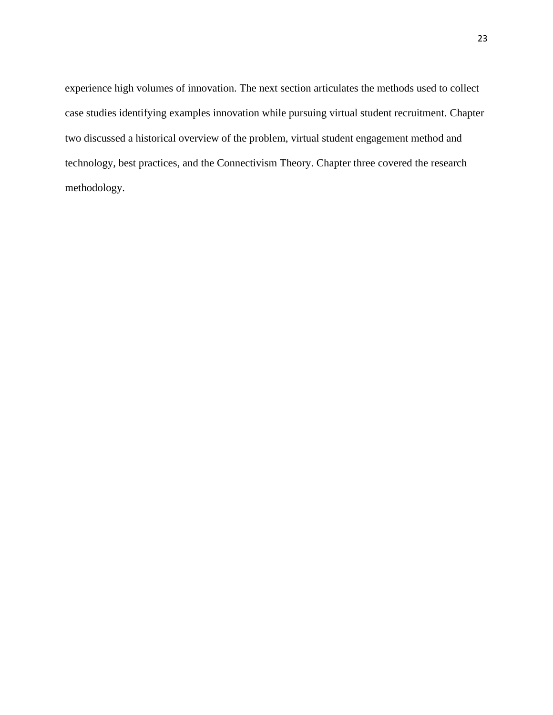experience high volumes of innovation. The next section articulates the methods used to collect case studies identifying examples innovation while pursuing virtual student recruitment. Chapter two discussed a historical overview of the problem, virtual student engagement method and technology, best practices, and the Connectivism Theory. Chapter three covered the research methodology.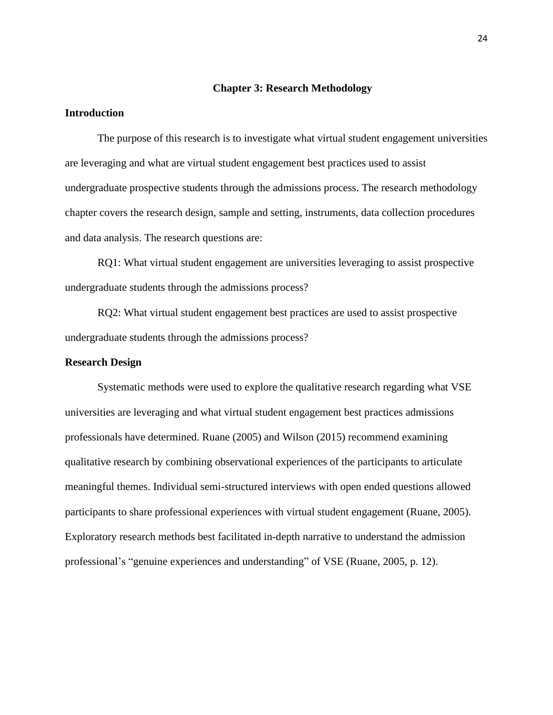#### **Chapter 3: Research Methodology**

#### <span id="page-24-1"></span><span id="page-24-0"></span>**Introduction**

The purpose of this research is to investigate what virtual student engagement universities are leveraging and what are virtual student engagement best practices used to assist undergraduate prospective students through the admissions process. The research methodology chapter covers the research design, sample and setting, instruments, data collection procedures and data analysis. The research questions are:

RQ1: What virtual student engagement are universities leveraging to assist prospective undergraduate students through the admissions process?

RQ2: What virtual student engagement best practices are used to assist prospective undergraduate students through the admissions process?

# <span id="page-24-2"></span>**Research Design**

Systematic methods were used to explore the qualitative research regarding what VSE universities are leveraging and what virtual student engagement best practices admissions professionals have determined. Ruane (2005) and Wilson (2015) recommend examining qualitative research by combining observational experiences of the participants to articulate meaningful themes. Individual semi-structured interviews with open ended questions allowed participants to share professional experiences with virtual student engagement (Ruane, 2005). Exploratory research methods best facilitated in-depth narrative to understand the admission professional's "genuine experiences and understanding" of VSE (Ruane, 2005, p. 12).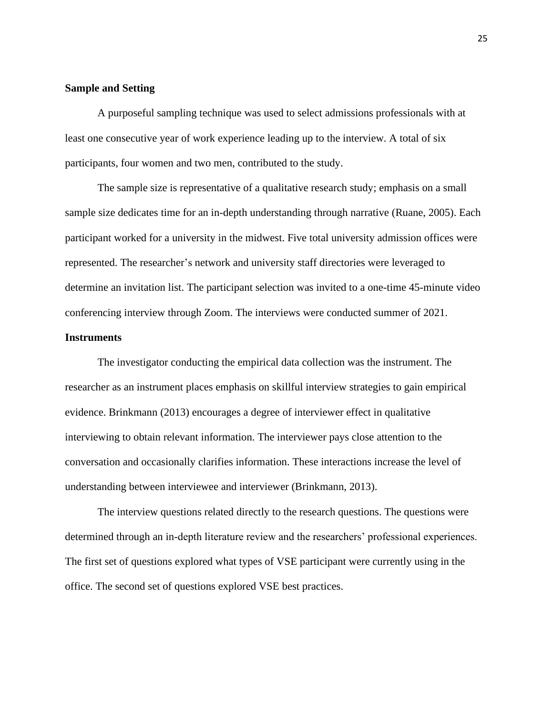### <span id="page-25-0"></span>**Sample and Setting**

A purposeful sampling technique was used to select admissions professionals with at least one consecutive year of work experience leading up to the interview. A total of six participants, four women and two men, contributed to the study.

The sample size is representative of a qualitative research study; emphasis on a small sample size dedicates time for an in-depth understanding through narrative (Ruane, 2005). Each participant worked for a university in the midwest. Five total university admission offices were represented. The researcher's network and university staff directories were leveraged to determine an invitation list. The participant selection was invited to a one-time 45-minute video conferencing interview through Zoom. The interviews were conducted summer of 2021.

# <span id="page-25-1"></span>**Instruments**

The investigator conducting the empirical data collection was the instrument. The researcher as an instrument places emphasis on skillful interview strategies to gain empirical evidence. Brinkmann (2013) encourages a degree of interviewer effect in qualitative interviewing to obtain relevant information. The interviewer pays close attention to the conversation and occasionally clarifies information. These interactions increase the level of understanding between interviewee and interviewer (Brinkmann, 2013).

The interview questions related directly to the research questions. The questions were determined through an in-depth literature review and the researchers' professional experiences. The first set of questions explored what types of VSE participant were currently using in the office. The second set of questions explored VSE best practices.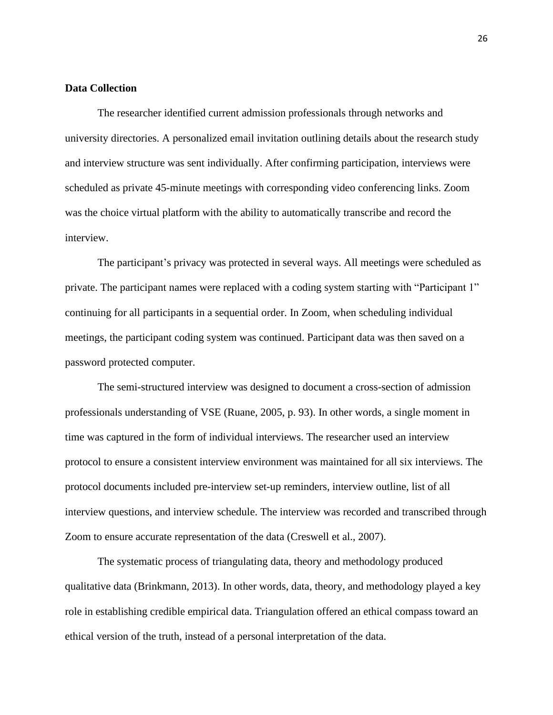#### <span id="page-26-0"></span>**Data Collection**

The researcher identified current admission professionals through networks and university directories. A personalized email invitation outlining details about the research study and interview structure was sent individually. After confirming participation, interviews were scheduled as private 45-minute meetings with corresponding video conferencing links. Zoom was the choice virtual platform with the ability to automatically transcribe and record the interview.

The participant's privacy was protected in several ways. All meetings were scheduled as private. The participant names were replaced with a coding system starting with "Participant 1" continuing for all participants in a sequential order. In Zoom, when scheduling individual meetings, the participant coding system was continued. Participant data was then saved on a password protected computer.

The semi-structured interview was designed to document a cross-section of admission professionals understanding of VSE (Ruane, 2005, p. 93). In other words, a single moment in time was captured in the form of individual interviews. The researcher used an interview protocol to ensure a consistent interview environment was maintained for all six interviews. The protocol documents included pre-interview set-up reminders, interview outline, list of all interview questions, and interview schedule. The interview was recorded and transcribed through Zoom to ensure accurate representation of the data (Creswell et al., 2007).

The systematic process of triangulating data, theory and methodology produced qualitative data (Brinkmann, 2013). In other words, data, theory, and methodology played a key role in establishing credible empirical data. Triangulation offered an ethical compass toward an ethical version of the truth, instead of a personal interpretation of the data.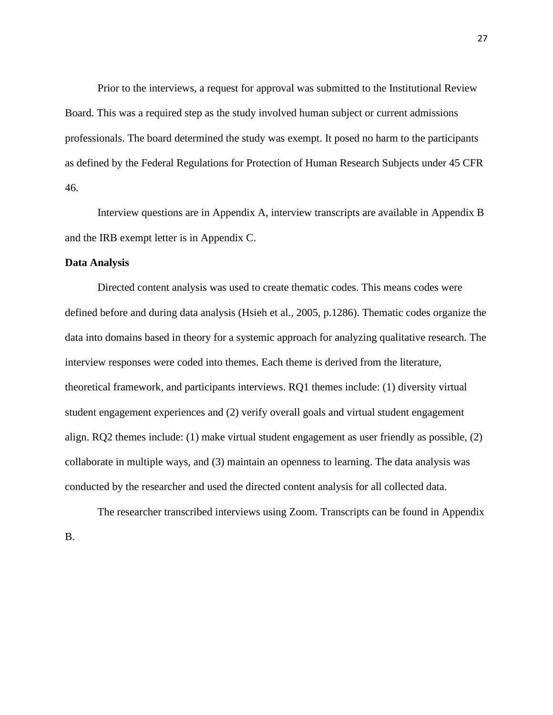Prior to the interviews, a request for approval was submitted to the Institutional Review Board. This was a required step as the study involved human subject or current admissions professionals. The board determined the study was exempt. It posed no harm to the participants as defined by the Federal Regulations for Protection of Human Research Subjects under 45 CFR 46.

Interview questions are in Appendix A, interview transcripts are available in Appendix B and the IRB exempt letter is in Appendix C.

#### <span id="page-27-0"></span>**Data Analysis**

Directed content analysis was used to create thematic codes. This means codes were defined before and during data analysis (Hsieh et al., 2005, p.1286). Thematic codes organize the data into domains based in theory for a systemic approach for analyzing qualitative research. The interview responses were coded into themes. Each theme is derived from the literature, theoretical framework, and participants interviews. RQ1 themes include: (1) diversity virtual student engagement experiences and (2) verify overall goals and virtual student engagement align. RQ2 themes include: (1) make virtual student engagement as user friendly as possible, (2) collaborate in multiple ways, and (3) maintain an openness to learning. The data analysis was conducted by the researcher and used the directed content analysis for all collected data.

The researcher transcribed interviews using Zoom. Transcripts can be found in Appendix B.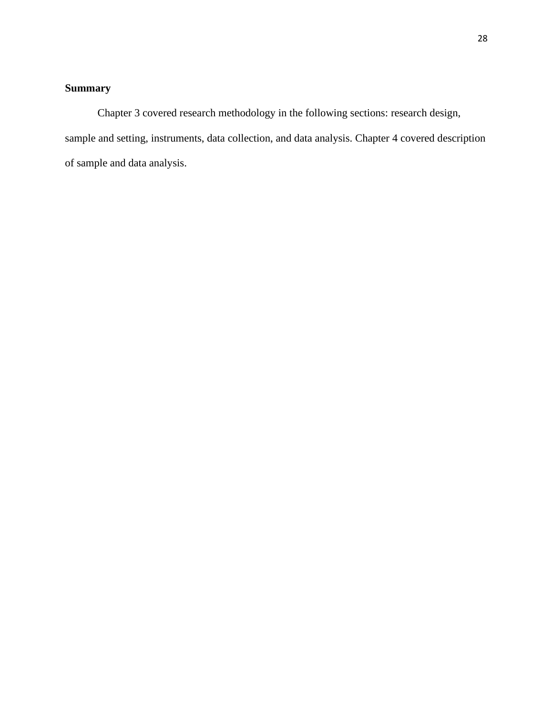# <span id="page-28-0"></span>**Summary**

Chapter 3 covered research methodology in the following sections: research design, sample and setting, instruments, data collection, and data analysis. Chapter 4 covered description of sample and data analysis.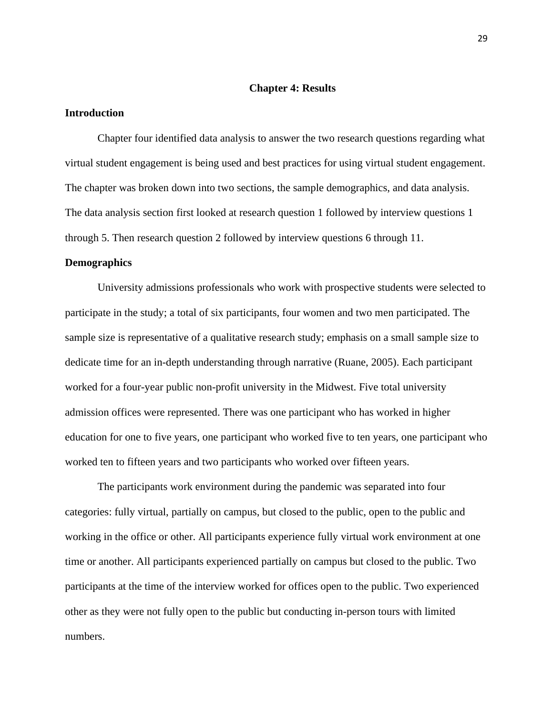#### **Chapter 4: Results**

#### <span id="page-29-1"></span><span id="page-29-0"></span>**Introduction**

Chapter four identified data analysis to answer the two research questions regarding what virtual student engagement is being used and best practices for using virtual student engagement. The chapter was broken down into two sections, the sample demographics, and data analysis. The data analysis section first looked at research question 1 followed by interview questions 1 through 5. Then research question 2 followed by interview questions 6 through 11.

### <span id="page-29-2"></span>**Demographics**

University admissions professionals who work with prospective students were selected to participate in the study; a total of six participants, four women and two men participated. The sample size is representative of a qualitative research study; emphasis on a small sample size to dedicate time for an in-depth understanding through narrative (Ruane, 2005). Each participant worked for a four-year public non-profit university in the Midwest. Five total university admission offices were represented. There was one participant who has worked in higher education for one to five years, one participant who worked five to ten years, one participant who worked ten to fifteen years and two participants who worked over fifteen years.

The participants work environment during the pandemic was separated into four categories: fully virtual, partially on campus, but closed to the public, open to the public and working in the office or other. All participants experience fully virtual work environment at one time or another. All participants experienced partially on campus but closed to the public. Two participants at the time of the interview worked for offices open to the public. Two experienced other as they were not fully open to the public but conducting in-person tours with limited numbers.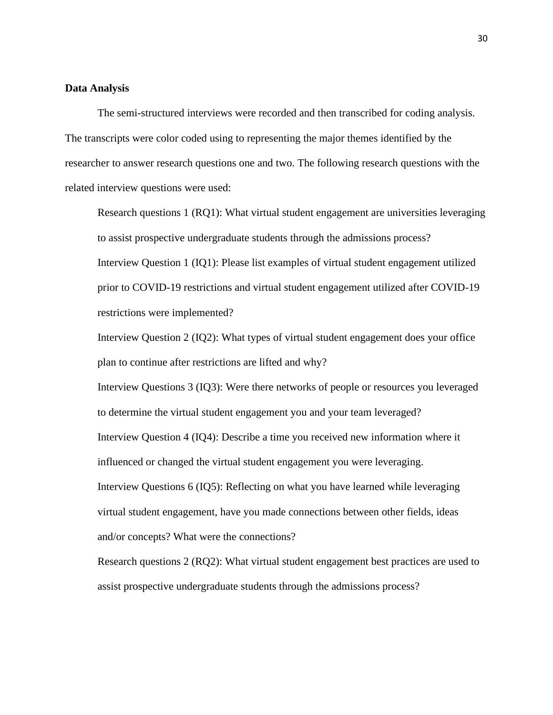#### <span id="page-30-0"></span>**Data Analysis**

The semi-structured interviews were recorded and then transcribed for coding analysis. The transcripts were color coded using to representing the major themes identified by the researcher to answer research questions one and two. The following research questions with the related interview questions were used:

Research questions 1 (RQ1): What virtual student engagement are universities leveraging to assist prospective undergraduate students through the admissions process? Interview Question 1 (IQ1): Please list examples of virtual student engagement utilized prior to COVID-19 restrictions and virtual student engagement utilized after COVID-19 restrictions were implemented?

Interview Question 2 (IQ2): What types of virtual student engagement does your office plan to continue after restrictions are lifted and why?

Interview Questions 3 (IQ3): Were there networks of people or resources you leveraged to determine the virtual student engagement you and your team leveraged? Interview Question 4 (IQ4): Describe a time you received new information where it influenced or changed the virtual student engagement you were leveraging. Interview Questions 6 (IQ5): Reflecting on what you have learned while leveraging virtual student engagement, have you made connections between other fields, ideas and/or concepts? What were the connections?

Research questions 2 (RQ2): What virtual student engagement best practices are used to assist prospective undergraduate students through the admissions process?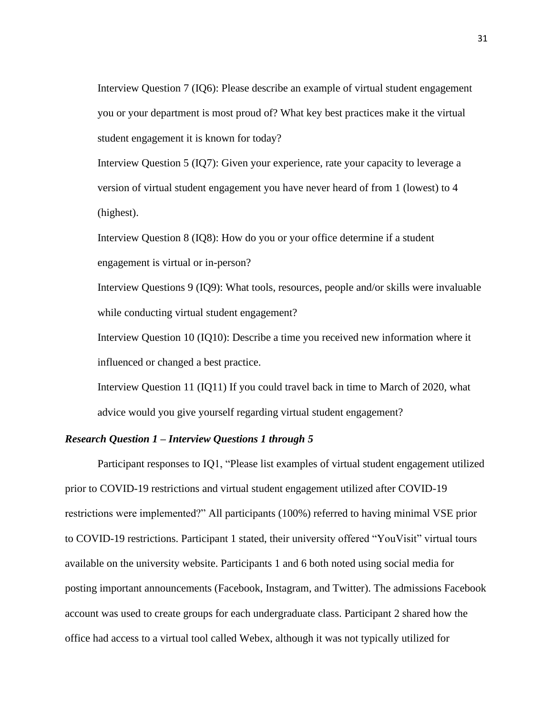Interview Question 7 (IQ6): Please describe an example of virtual student engagement you or your department is most proud of? What key best practices make it the virtual student engagement it is known for today?

Interview Question 5 (IQ7): Given your experience, rate your capacity to leverage a version of virtual student engagement you have never heard of from 1 (lowest) to 4 (highest).

Interview Question 8 (IQ8): How do you or your office determine if a student engagement is virtual or in-person?

Interview Questions 9 (IQ9): What tools, resources, people and/or skills were invaluable while conducting virtual student engagement?

Interview Question 10 (IQ10): Describe a time you received new information where it influenced or changed a best practice.

Interview Question 11 (IQ11) If you could travel back in time to March of 2020, what advice would you give yourself regarding virtual student engagement?

# <span id="page-31-0"></span>*Research Question 1 – Interview Questions 1 through 5*

Participant responses to IQ1, "Please list examples of virtual student engagement utilized prior to COVID-19 restrictions and virtual student engagement utilized after COVID-19 restrictions were implemented?" All participants (100%) referred to having minimal VSE prior to COVID-19 restrictions. Participant 1 stated, their university offered "YouVisit" virtual tours available on the university website. Participants 1 and 6 both noted using social media for posting important announcements (Facebook, Instagram, and Twitter). The admissions Facebook account was used to create groups for each undergraduate class. Participant 2 shared how the office had access to a virtual tool called Webex, although it was not typically utilized for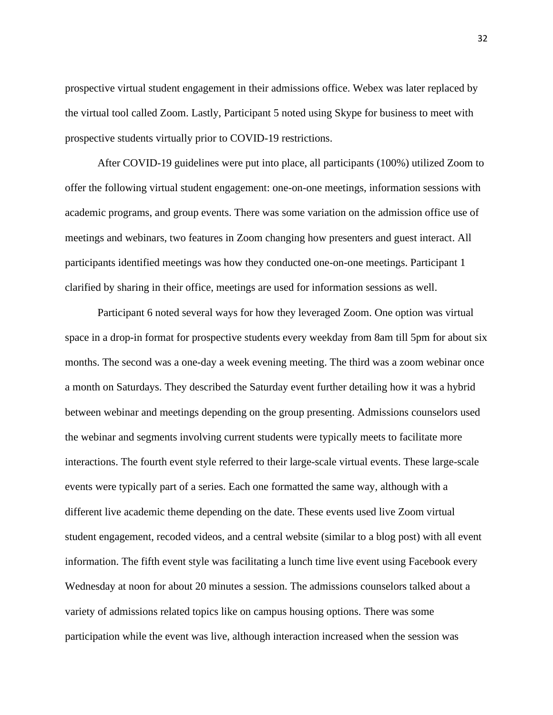prospective virtual student engagement in their admissions office. Webex was later replaced by the virtual tool called Zoom. Lastly, Participant 5 noted using Skype for business to meet with prospective students virtually prior to COVID-19 restrictions.

After COVID-19 guidelines were put into place, all participants (100%) utilized Zoom to offer the following virtual student engagement: one-on-one meetings, information sessions with academic programs, and group events. There was some variation on the admission office use of meetings and webinars, two features in Zoom changing how presenters and guest interact. All participants identified meetings was how they conducted one-on-one meetings. Participant 1 clarified by sharing in their office, meetings are used for information sessions as well.

Participant 6 noted several ways for how they leveraged Zoom. One option was virtual space in a drop-in format for prospective students every weekday from 8am till 5pm for about six months. The second was a one-day a week evening meeting. The third was a zoom webinar once a month on Saturdays. They described the Saturday event further detailing how it was a hybrid between webinar and meetings depending on the group presenting. Admissions counselors used the webinar and segments involving current students were typically meets to facilitate more interactions. The fourth event style referred to their large-scale virtual events. These large-scale events were typically part of a series. Each one formatted the same way, although with a different live academic theme depending on the date. These events used live Zoom virtual student engagement, recoded videos, and a central website (similar to a blog post) with all event information. The fifth event style was facilitating a lunch time live event using Facebook every Wednesday at noon for about 20 minutes a session. The admissions counselors talked about a variety of admissions related topics like on campus housing options. There was some participation while the event was live, although interaction increased when the session was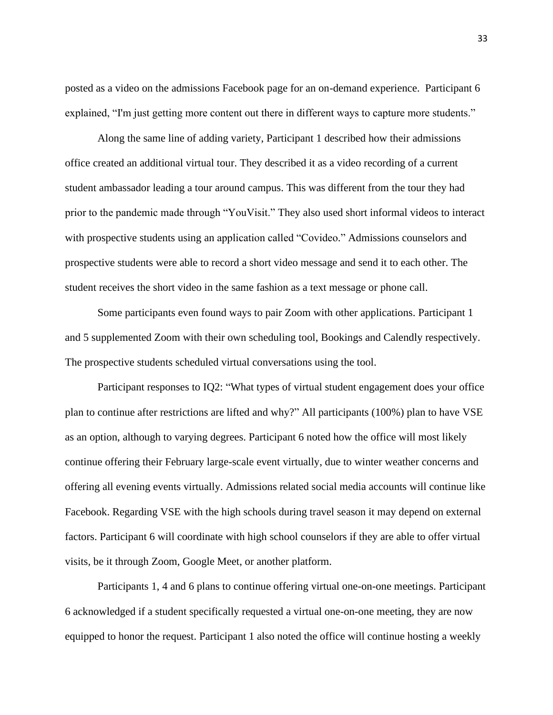posted as a video on the admissions Facebook page for an on-demand experience. Participant 6 explained, "I'm just getting more content out there in different ways to capture more students."

Along the same line of adding variety, Participant 1 described how their admissions office created an additional virtual tour. They described it as a video recording of a current student ambassador leading a tour around campus. This was different from the tour they had prior to the pandemic made through "YouVisit." They also used short informal videos to interact with prospective students using an application called "Covideo." Admissions counselors and prospective students were able to record a short video message and send it to each other. The student receives the short video in the same fashion as a text message or phone call.

Some participants even found ways to pair Zoom with other applications. Participant 1 and 5 supplemented Zoom with their own scheduling tool, Bookings and Calendly respectively. The prospective students scheduled virtual conversations using the tool.

Participant responses to IQ2: "What types of virtual student engagement does your office plan to continue after restrictions are lifted and why?" All participants (100%) plan to have VSE as an option, although to varying degrees. Participant 6 noted how the office will most likely continue offering their February large-scale event virtually, due to winter weather concerns and offering all evening events virtually. Admissions related social media accounts will continue like Facebook. Regarding VSE with the high schools during travel season it may depend on external factors. Participant 6 will coordinate with high school counselors if they are able to offer virtual visits, be it through Zoom, Google Meet, or another platform.

Participants 1, 4 and 6 plans to continue offering virtual one-on-one meetings. Participant 6 acknowledged if a student specifically requested a virtual one-on-one meeting, they are now equipped to honor the request. Participant 1 also noted the office will continue hosting a weekly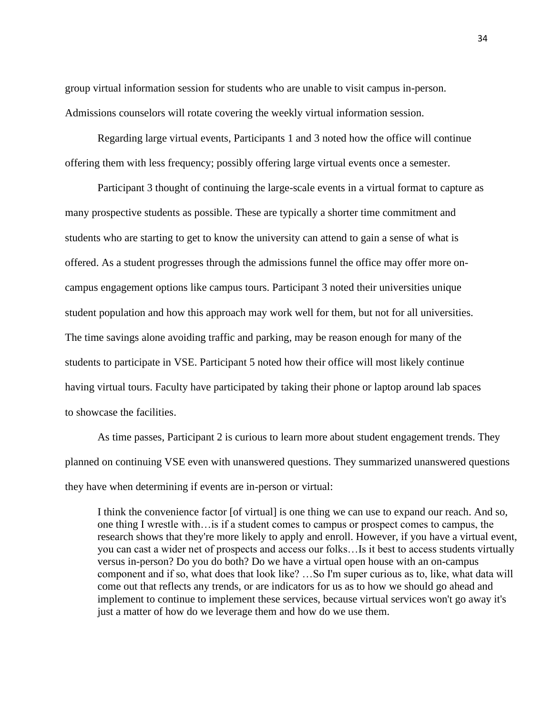group virtual information session for students who are unable to visit campus in-person. Admissions counselors will rotate covering the weekly virtual information session.

Regarding large virtual events, Participants 1 and 3 noted how the office will continue offering them with less frequency; possibly offering large virtual events once a semester.

Participant 3 thought of continuing the large-scale events in a virtual format to capture as many prospective students as possible. These are typically a shorter time commitment and students who are starting to get to know the university can attend to gain a sense of what is offered. As a student progresses through the admissions funnel the office may offer more oncampus engagement options like campus tours. Participant 3 noted their universities unique student population and how this approach may work well for them, but not for all universities. The time savings alone avoiding traffic and parking, may be reason enough for many of the students to participate in VSE. Participant 5 noted how their office will most likely continue having virtual tours. Faculty have participated by taking their phone or laptop around lab spaces to showcase the facilities.

As time passes, Participant 2 is curious to learn more about student engagement trends. They planned on continuing VSE even with unanswered questions. They summarized unanswered questions they have when determining if events are in-person or virtual:

I think the convenience factor [of virtual] is one thing we can use to expand our reach. And so, one thing I wrestle with…is if a student comes to campus or prospect comes to campus, the research shows that they're more likely to apply and enroll. However, if you have a virtual event, you can cast a wider net of prospects and access our folks…Is it best to access students virtually versus in-person? Do you do both? Do we have a virtual open house with an on-campus component and if so, what does that look like? …So I'm super curious as to, like, what data will come out that reflects any trends, or are indicators for us as to how we should go ahead and implement to continue to implement these services, because virtual services won't go away it's just a matter of how do we leverage them and how do we use them.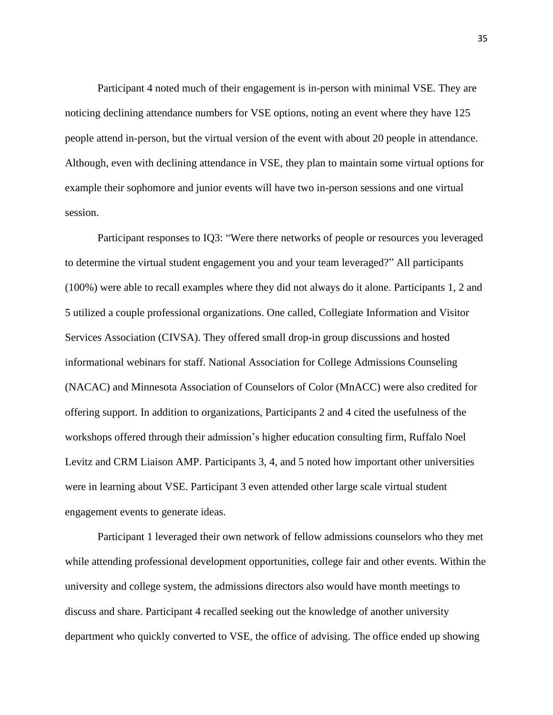Participant 4 noted much of their engagement is in-person with minimal VSE. They are noticing declining attendance numbers for VSE options, noting an event where they have 125 people attend in-person, but the virtual version of the event with about 20 people in attendance. Although, even with declining attendance in VSE, they plan to maintain some virtual options for example their sophomore and junior events will have two in-person sessions and one virtual session.

Participant responses to IQ3: "Were there networks of people or resources you leveraged to determine the virtual student engagement you and your team leveraged?" All participants (100%) were able to recall examples where they did not always do it alone. Participants 1, 2 and 5 utilized a couple professional organizations. One called, Collegiate Information and Visitor Services Association (CIVSA). They offered small drop-in group discussions and hosted informational webinars for staff. National Association for College Admissions Counseling (NACAC) and Minnesota Association of Counselors of Color (MnACC) were also credited for offering support. In addition to organizations, Participants 2 and 4 cited the usefulness of the workshops offered through their admission's higher education consulting firm, Ruffalo Noel Levitz and CRM Liaison AMP. Participants 3, 4, and 5 noted how important other universities were in learning about VSE. Participant 3 even attended other large scale virtual student engagement events to generate ideas.

Participant 1 leveraged their own network of fellow admissions counselors who they met while attending professional development opportunities, college fair and other events. Within the university and college system, the admissions directors also would have month meetings to discuss and share. Participant 4 recalled seeking out the knowledge of another university department who quickly converted to VSE, the office of advising. The office ended up showing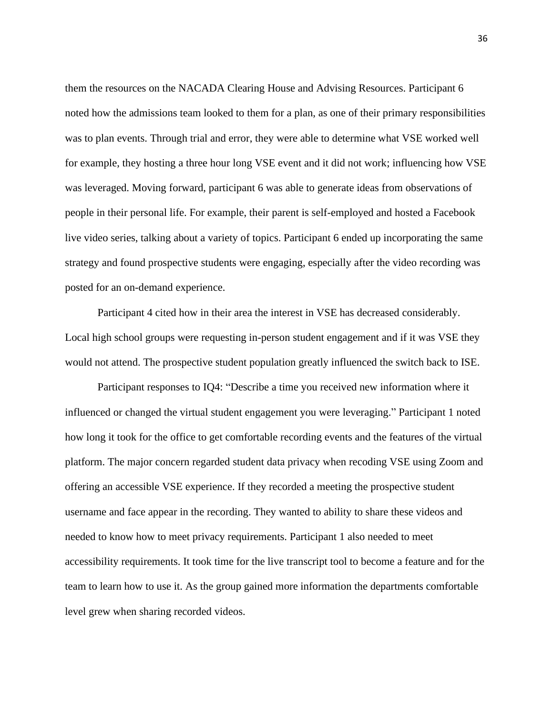them the resources on the NACADA Clearing House and Advising Resources. Participant 6 noted how the admissions team looked to them for a plan, as one of their primary responsibilities was to plan events. Through trial and error, they were able to determine what VSE worked well for example, they hosting a three hour long VSE event and it did not work; influencing how VSE was leveraged. Moving forward, participant 6 was able to generate ideas from observations of people in their personal life. For example, their parent is self-employed and hosted a Facebook live video series, talking about a variety of topics. Participant 6 ended up incorporating the same strategy and found prospective students were engaging, especially after the video recording was posted for an on-demand experience.

Participant 4 cited how in their area the interest in VSE has decreased considerably. Local high school groups were requesting in-person student engagement and if it was VSE they would not attend. The prospective student population greatly influenced the switch back to ISE.

Participant responses to IQ4: "Describe a time you received new information where it influenced or changed the virtual student engagement you were leveraging." Participant 1 noted how long it took for the office to get comfortable recording events and the features of the virtual platform. The major concern regarded student data privacy when recoding VSE using Zoom and offering an accessible VSE experience. If they recorded a meeting the prospective student username and face appear in the recording. They wanted to ability to share these videos and needed to know how to meet privacy requirements. Participant 1 also needed to meet accessibility requirements. It took time for the live transcript tool to become a feature and for the team to learn how to use it. As the group gained more information the departments comfortable level grew when sharing recorded videos.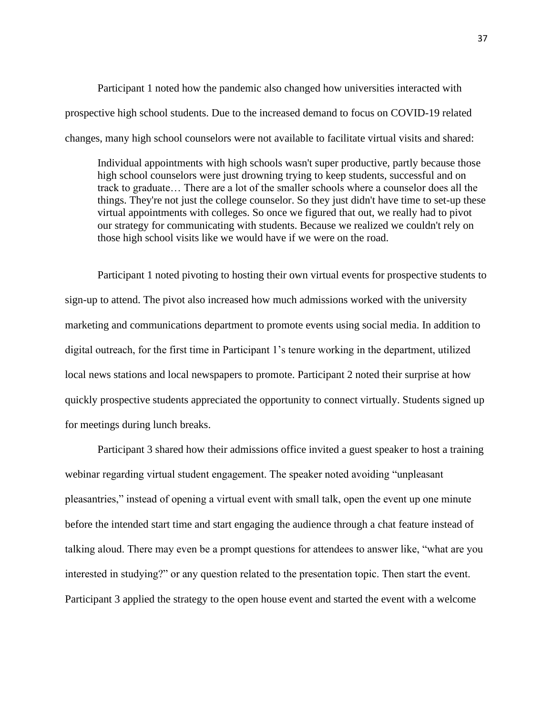Participant 1 noted how the pandemic also changed how universities interacted with prospective high school students. Due to the increased demand to focus on COVID-19 related changes, many high school counselors were not available to facilitate virtual visits and shared:

Individual appointments with high schools wasn't super productive, partly because those high school counselors were just drowning trying to keep students, successful and on track to graduate… There are a lot of the smaller schools where a counselor does all the things. They're not just the college counselor. So they just didn't have time to set-up these virtual appointments with colleges. So once we figured that out, we really had to pivot our strategy for communicating with students. Because we realized we couldn't rely on those high school visits like we would have if we were on the road.

Participant 1 noted pivoting to hosting their own virtual events for prospective students to sign-up to attend. The pivot also increased how much admissions worked with the university marketing and communications department to promote events using social media. In addition to digital outreach, for the first time in Participant 1's tenure working in the department, utilized local news stations and local newspapers to promote. Participant 2 noted their surprise at how quickly prospective students appreciated the opportunity to connect virtually. Students signed up for meetings during lunch breaks.

Participant 3 shared how their admissions office invited a guest speaker to host a training webinar regarding virtual student engagement. The speaker noted avoiding "unpleasant pleasantries," instead of opening a virtual event with small talk, open the event up one minute before the intended start time and start engaging the audience through a chat feature instead of talking aloud. There may even be a prompt questions for attendees to answer like, "what are you interested in studying?" or any question related to the presentation topic. Then start the event. Participant 3 applied the strategy to the open house event and started the event with a welcome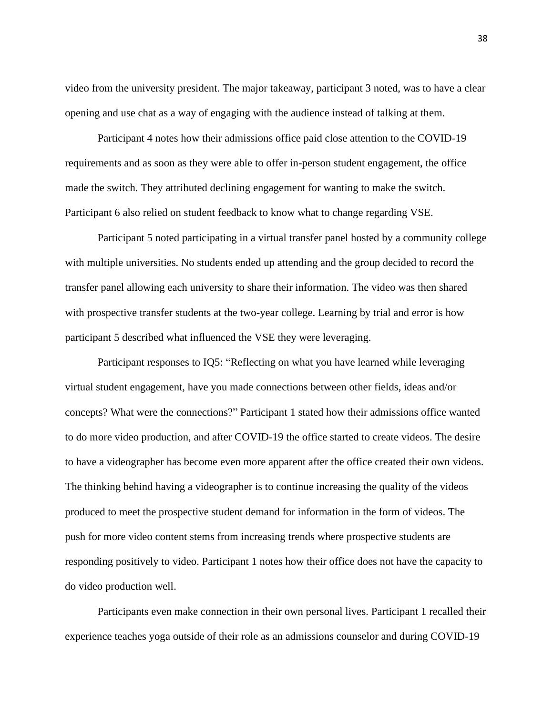video from the university president. The major takeaway, participant 3 noted, was to have a clear opening and use chat as a way of engaging with the audience instead of talking at them.

Participant 4 notes how their admissions office paid close attention to the COVID-19 requirements and as soon as they were able to offer in-person student engagement, the office made the switch. They attributed declining engagement for wanting to make the switch. Participant 6 also relied on student feedback to know what to change regarding VSE.

Participant 5 noted participating in a virtual transfer panel hosted by a community college with multiple universities. No students ended up attending and the group decided to record the transfer panel allowing each university to share their information. The video was then shared with prospective transfer students at the two-year college. Learning by trial and error is how participant 5 described what influenced the VSE they were leveraging.

Participant responses to IQ5: "Reflecting on what you have learned while leveraging virtual student engagement, have you made connections between other fields, ideas and/or concepts? What were the connections?" Participant 1 stated how their admissions office wanted to do more video production, and after COVID-19 the office started to create videos. The desire to have a videographer has become even more apparent after the office created their own videos. The thinking behind having a videographer is to continue increasing the quality of the videos produced to meet the prospective student demand for information in the form of videos. The push for more video content stems from increasing trends where prospective students are responding positively to video. Participant 1 notes how their office does not have the capacity to do video production well.

Participants even make connection in their own personal lives. Participant 1 recalled their experience teaches yoga outside of their role as an admissions counselor and during COVID-19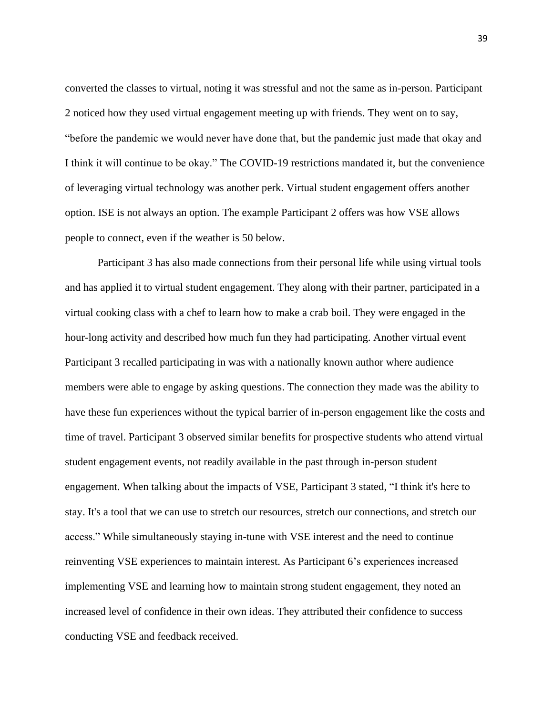converted the classes to virtual, noting it was stressful and not the same as in-person. Participant 2 noticed how they used virtual engagement meeting up with friends. They went on to say, "before the pandemic we would never have done that, but the pandemic just made that okay and I think it will continue to be okay." The COVID-19 restrictions mandated it, but the convenience of leveraging virtual technology was another perk. Virtual student engagement offers another option. ISE is not always an option. The example Participant 2 offers was how VSE allows people to connect, even if the weather is 50 below.

Participant 3 has also made connections from their personal life while using virtual tools and has applied it to virtual student engagement. They along with their partner, participated in a virtual cooking class with a chef to learn how to make a crab boil. They were engaged in the hour-long activity and described how much fun they had participating. Another virtual event Participant 3 recalled participating in was with a nationally known author where audience members were able to engage by asking questions. The connection they made was the ability to have these fun experiences without the typical barrier of in-person engagement like the costs and time of travel. Participant 3 observed similar benefits for prospective students who attend virtual student engagement events, not readily available in the past through in-person student engagement. When talking about the impacts of VSE, Participant 3 stated, "I think it's here to stay. It's a tool that we can use to stretch our resources, stretch our connections, and stretch our access." While simultaneously staying in-tune with VSE interest and the need to continue reinventing VSE experiences to maintain interest. As Participant 6's experiences increased implementing VSE and learning how to maintain strong student engagement, they noted an increased level of confidence in their own ideas. They attributed their confidence to success conducting VSE and feedback received.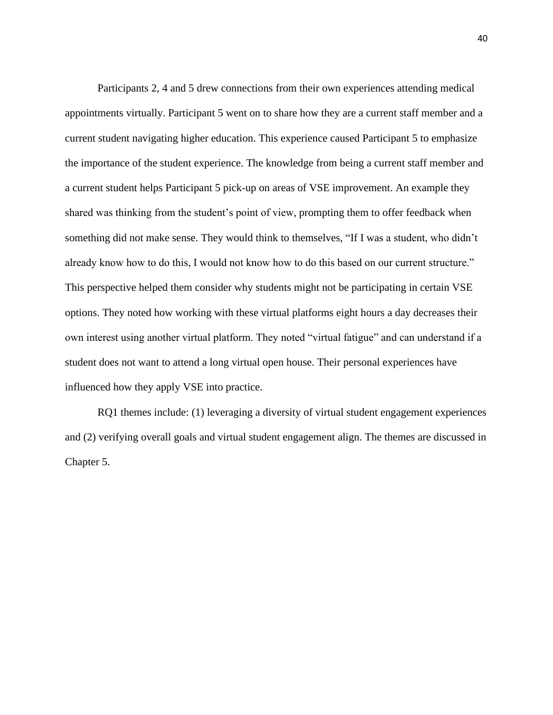Participants 2, 4 and 5 drew connections from their own experiences attending medical appointments virtually. Participant 5 went on to share how they are a current staff member and a current student navigating higher education. This experience caused Participant 5 to emphasize the importance of the student experience. The knowledge from being a current staff member and a current student helps Participant 5 pick-up on areas of VSE improvement. An example they shared was thinking from the student's point of view, prompting them to offer feedback when something did not make sense. They would think to themselves, "If I was a student, who didn't already know how to do this, I would not know how to do this based on our current structure." This perspective helped them consider why students might not be participating in certain VSE options. They noted how working with these virtual platforms eight hours a day decreases their own interest using another virtual platform. They noted "virtual fatigue" and can understand if a student does not want to attend a long virtual open house. Their personal experiences have influenced how they apply VSE into practice.

RQ1 themes include: (1) leveraging a diversity of virtual student engagement experiences and (2) verifying overall goals and virtual student engagement align. The themes are discussed in Chapter 5.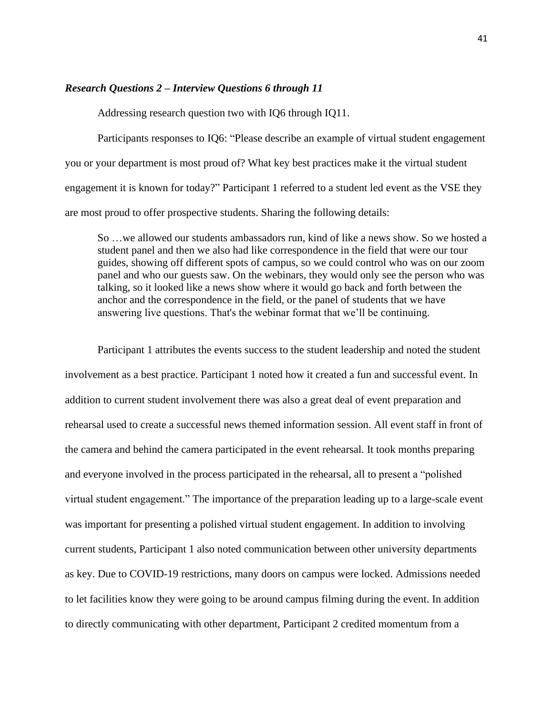# <span id="page-41-0"></span>*Research Questions 2 – Interview Questions 6 through 11*

Addressing research question two with IQ6 through IQ11.

Participants responses to IQ6: "Please describe an example of virtual student engagement you or your department is most proud of? What key best practices make it the virtual student engagement it is known for today?" Participant 1 referred to a student led event as the VSE they are most proud to offer prospective students. Sharing the following details:

So …we allowed our students ambassadors run, kind of like a news show. So we hosted a student panel and then we also had like correspondence in the field that were our tour guides, showing off different spots of campus, so we could control who was on our zoom panel and who our guests saw. On the webinars, they would only see the person who was talking, so it looked like a news show where it would go back and forth between the anchor and the correspondence in the field, or the panel of students that we have answering live questions. That's the webinar format that we'll be continuing.

Participant 1 attributes the events success to the student leadership and noted the student involvement as a best practice. Participant 1 noted how it created a fun and successful event. In addition to current student involvement there was also a great deal of event preparation and rehearsal used to create a successful news themed information session. All event staff in front of the camera and behind the camera participated in the event rehearsal. It took months preparing and everyone involved in the process participated in the rehearsal, all to present a "polished virtual student engagement." The importance of the preparation leading up to a large-scale event was important for presenting a polished virtual student engagement. In addition to involving current students, Participant 1 also noted communication between other university departments as key. Due to COVID-19 restrictions, many doors on campus were locked. Admissions needed to let facilities know they were going to be around campus filming during the event. In addition to directly communicating with other department, Participant 2 credited momentum from a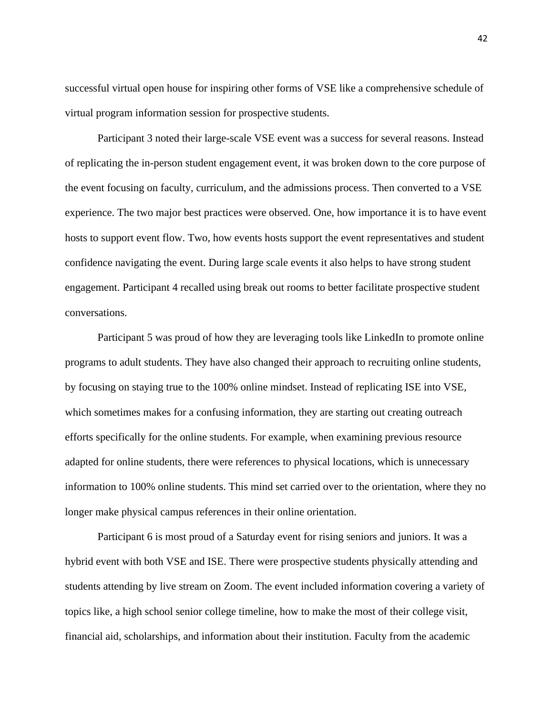successful virtual open house for inspiring other forms of VSE like a comprehensive schedule of virtual program information session for prospective students.

Participant 3 noted their large-scale VSE event was a success for several reasons. Instead of replicating the in-person student engagement event, it was broken down to the core purpose of the event focusing on faculty, curriculum, and the admissions process. Then converted to a VSE experience. The two major best practices were observed. One, how importance it is to have event hosts to support event flow. Two, how events hosts support the event representatives and student confidence navigating the event. During large scale events it also helps to have strong student engagement. Participant 4 recalled using break out rooms to better facilitate prospective student conversations.

Participant 5 was proud of how they are leveraging tools like LinkedIn to promote online programs to adult students. They have also changed their approach to recruiting online students, by focusing on staying true to the 100% online mindset. Instead of replicating ISE into VSE, which sometimes makes for a confusing information, they are starting out creating outreach efforts specifically for the online students. For example, when examining previous resource adapted for online students, there were references to physical locations, which is unnecessary information to 100% online students. This mind set carried over to the orientation, where they no longer make physical campus references in their online orientation.

Participant 6 is most proud of a Saturday event for rising seniors and juniors. It was a hybrid event with both VSE and ISE. There were prospective students physically attending and students attending by live stream on Zoom. The event included information covering a variety of topics like, a high school senior college timeline, how to make the most of their college visit, financial aid, scholarships, and information about their institution. Faculty from the academic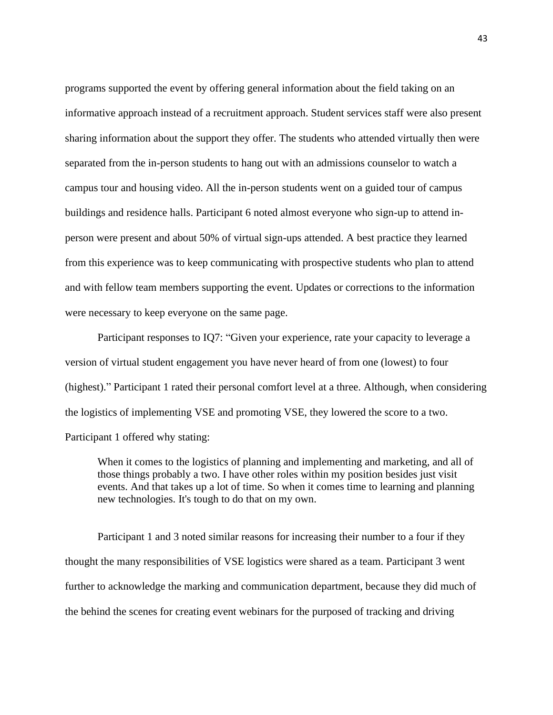programs supported the event by offering general information about the field taking on an informative approach instead of a recruitment approach. Student services staff were also present sharing information about the support they offer. The students who attended virtually then were separated from the in-person students to hang out with an admissions counselor to watch a campus tour and housing video. All the in-person students went on a guided tour of campus buildings and residence halls. Participant 6 noted almost everyone who sign-up to attend inperson were present and about 50% of virtual sign-ups attended. A best practice they learned from this experience was to keep communicating with prospective students who plan to attend and with fellow team members supporting the event. Updates or corrections to the information were necessary to keep everyone on the same page.

Participant responses to IQ7: "Given your experience, rate your capacity to leverage a version of virtual student engagement you have never heard of from one (lowest) to four (highest)." Participant 1 rated their personal comfort level at a three. Although, when considering the logistics of implementing VSE and promoting VSE, they lowered the score to a two. Participant 1 offered why stating:

When it comes to the logistics of planning and implementing and marketing, and all of those things probably a two. I have other roles within my position besides just visit events. And that takes up a lot of time. So when it comes time to learning and planning new technologies. It's tough to do that on my own.

Participant 1 and 3 noted similar reasons for increasing their number to a four if they thought the many responsibilities of VSE logistics were shared as a team. Participant 3 went further to acknowledge the marking and communication department, because they did much of the behind the scenes for creating event webinars for the purposed of tracking and driving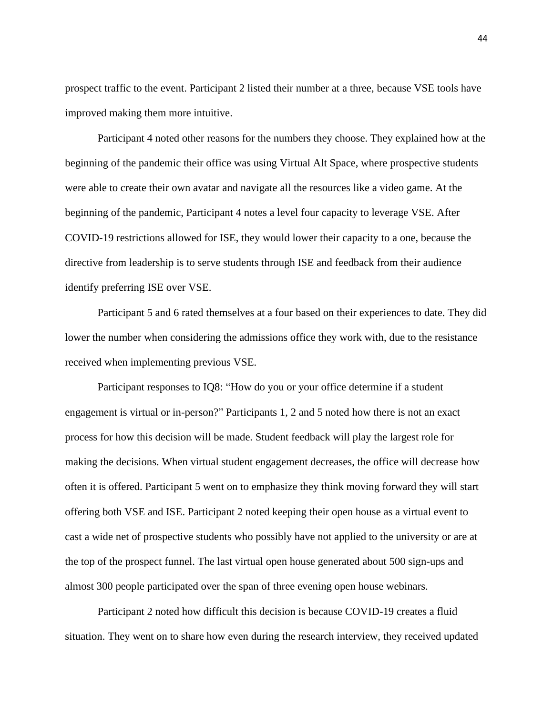prospect traffic to the event. Participant 2 listed their number at a three, because VSE tools have improved making them more intuitive.

Participant 4 noted other reasons for the numbers they choose. They explained how at the beginning of the pandemic their office was using Virtual Alt Space, where prospective students were able to create their own avatar and navigate all the resources like a video game. At the beginning of the pandemic, Participant 4 notes a level four capacity to leverage VSE. After COVID-19 restrictions allowed for ISE, they would lower their capacity to a one, because the directive from leadership is to serve students through ISE and feedback from their audience identify preferring ISE over VSE.

Participant 5 and 6 rated themselves at a four based on their experiences to date. They did lower the number when considering the admissions office they work with, due to the resistance received when implementing previous VSE.

Participant responses to IQ8: "How do you or your office determine if a student engagement is virtual or in-person?" Participants 1, 2 and 5 noted how there is not an exact process for how this decision will be made. Student feedback will play the largest role for making the decisions. When virtual student engagement decreases, the office will decrease how often it is offered. Participant 5 went on to emphasize they think moving forward they will start offering both VSE and ISE. Participant 2 noted keeping their open house as a virtual event to cast a wide net of prospective students who possibly have not applied to the university or are at the top of the prospect funnel. The last virtual open house generated about 500 sign-ups and almost 300 people participated over the span of three evening open house webinars.

Participant 2 noted how difficult this decision is because COVID-19 creates a fluid situation. They went on to share how even during the research interview, they received updated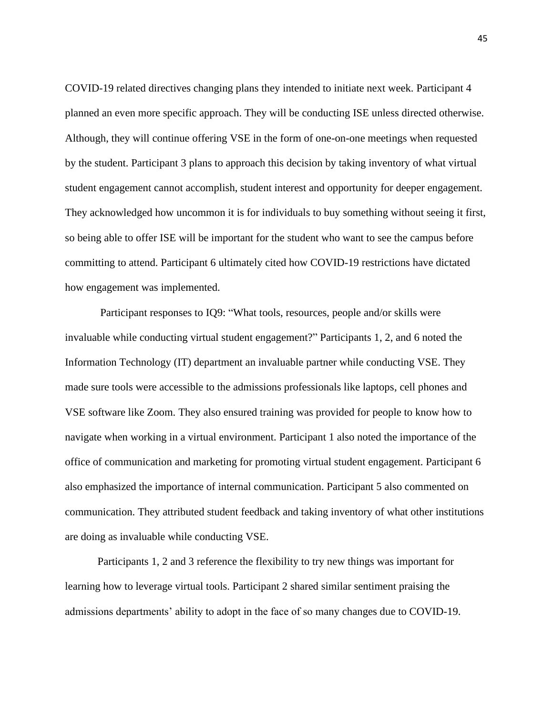COVID-19 related directives changing plans they intended to initiate next week. Participant 4 planned an even more specific approach. They will be conducting ISE unless directed otherwise. Although, they will continue offering VSE in the form of one-on-one meetings when requested by the student. Participant 3 plans to approach this decision by taking inventory of what virtual student engagement cannot accomplish, student interest and opportunity for deeper engagement. They acknowledged how uncommon it is for individuals to buy something without seeing it first, so being able to offer ISE will be important for the student who want to see the campus before committing to attend. Participant 6 ultimately cited how COVID-19 restrictions have dictated how engagement was implemented.

Participant responses to IQ9: "What tools, resources, people and/or skills were invaluable while conducting virtual student engagement?" Participants 1, 2, and 6 noted the Information Technology (IT) department an invaluable partner while conducting VSE. They made sure tools were accessible to the admissions professionals like laptops, cell phones and VSE software like Zoom. They also ensured training was provided for people to know how to navigate when working in a virtual environment. Participant 1 also noted the importance of the office of communication and marketing for promoting virtual student engagement. Participant 6 also emphasized the importance of internal communication. Participant 5 also commented on communication. They attributed student feedback and taking inventory of what other institutions are doing as invaluable while conducting VSE.

Participants 1, 2 and 3 reference the flexibility to try new things was important for learning how to leverage virtual tools. Participant 2 shared similar sentiment praising the admissions departments' ability to adopt in the face of so many changes due to COVID-19.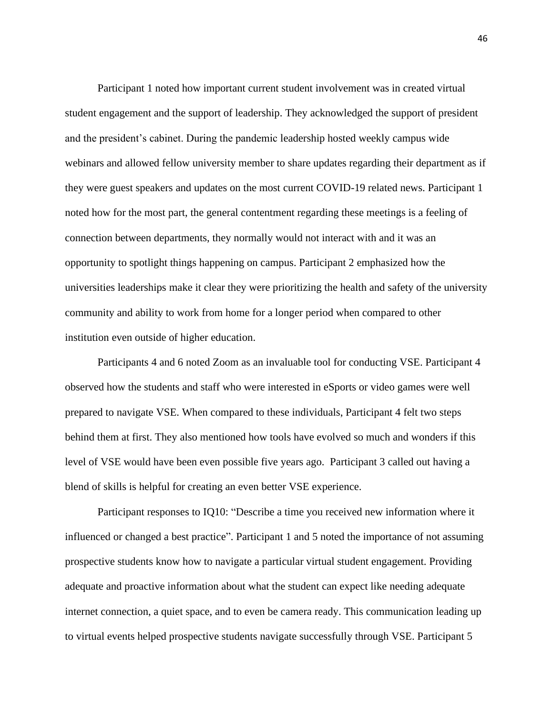Participant 1 noted how important current student involvement was in created virtual student engagement and the support of leadership. They acknowledged the support of president and the president's cabinet. During the pandemic leadership hosted weekly campus wide webinars and allowed fellow university member to share updates regarding their department as if they were guest speakers and updates on the most current COVID-19 related news. Participant 1 noted how for the most part, the general contentment regarding these meetings is a feeling of connection between departments, they normally would not interact with and it was an opportunity to spotlight things happening on campus. Participant 2 emphasized how the universities leaderships make it clear they were prioritizing the health and safety of the university community and ability to work from home for a longer period when compared to other institution even outside of higher education.

Participants 4 and 6 noted Zoom as an invaluable tool for conducting VSE. Participant 4 observed how the students and staff who were interested in eSports or video games were well prepared to navigate VSE. When compared to these individuals, Participant 4 felt two steps behind them at first. They also mentioned how tools have evolved so much and wonders if this level of VSE would have been even possible five years ago. Participant 3 called out having a blend of skills is helpful for creating an even better VSE experience.

Participant responses to IQ10: "Describe a time you received new information where it influenced or changed a best practice". Participant 1 and 5 noted the importance of not assuming prospective students know how to navigate a particular virtual student engagement. Providing adequate and proactive information about what the student can expect like needing adequate internet connection, a quiet space, and to even be camera ready. This communication leading up to virtual events helped prospective students navigate successfully through VSE. Participant 5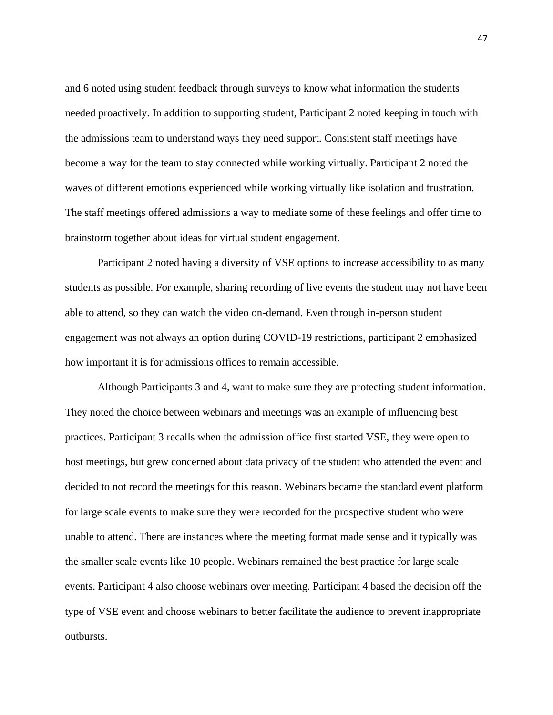and 6 noted using student feedback through surveys to know what information the students needed proactively. In addition to supporting student, Participant 2 noted keeping in touch with the admissions team to understand ways they need support. Consistent staff meetings have become a way for the team to stay connected while working virtually. Participant 2 noted the waves of different emotions experienced while working virtually like isolation and frustration. The staff meetings offered admissions a way to mediate some of these feelings and offer time to brainstorm together about ideas for virtual student engagement.

Participant 2 noted having a diversity of VSE options to increase accessibility to as many students as possible. For example, sharing recording of live events the student may not have been able to attend, so they can watch the video on-demand. Even through in-person student engagement was not always an option during COVID-19 restrictions, participant 2 emphasized how important it is for admissions offices to remain accessible.

Although Participants 3 and 4, want to make sure they are protecting student information. They noted the choice between webinars and meetings was an example of influencing best practices. Participant 3 recalls when the admission office first started VSE, they were open to host meetings, but grew concerned about data privacy of the student who attended the event and decided to not record the meetings for this reason. Webinars became the standard event platform for large scale events to make sure they were recorded for the prospective student who were unable to attend. There are instances where the meeting format made sense and it typically was the smaller scale events like 10 people. Webinars remained the best practice for large scale events. Participant 4 also choose webinars over meeting. Participant 4 based the decision off the type of VSE event and choose webinars to better facilitate the audience to prevent inappropriate outbursts.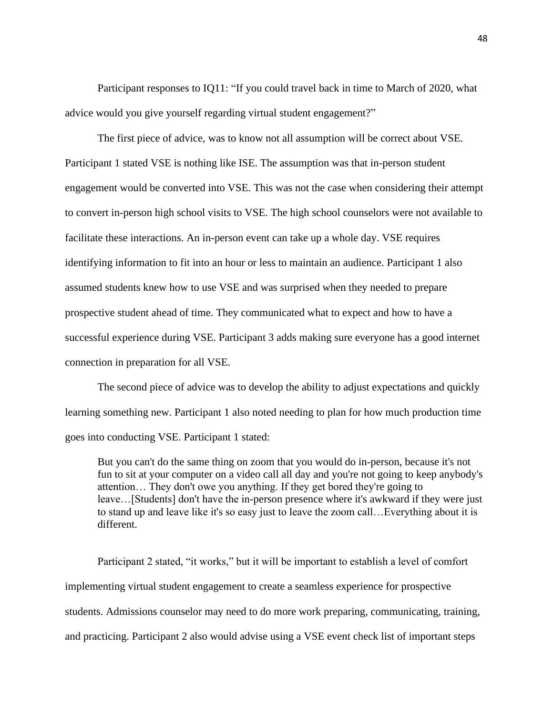Participant responses to IQ11: "If you could travel back in time to March of 2020, what advice would you give yourself regarding virtual student engagement?"

The first piece of advice, was to know not all assumption will be correct about VSE. Participant 1 stated VSE is nothing like ISE. The assumption was that in-person student engagement would be converted into VSE. This was not the case when considering their attempt to convert in-person high school visits to VSE. The high school counselors were not available to facilitate these interactions. An in-person event can take up a whole day. VSE requires identifying information to fit into an hour or less to maintain an audience. Participant 1 also assumed students knew how to use VSE and was surprised when they needed to prepare prospective student ahead of time. They communicated what to expect and how to have a successful experience during VSE. Participant 3 adds making sure everyone has a good internet connection in preparation for all VSE.

The second piece of advice was to develop the ability to adjust expectations and quickly learning something new. Participant 1 also noted needing to plan for how much production time goes into conducting VSE. Participant 1 stated:

But you can't do the same thing on zoom that you would do in-person, because it's not fun to sit at your computer on a video call all day and you're not going to keep anybody's attention… They don't owe you anything. If they get bored they're going to leave…[Students] don't have the in-person presence where it's awkward if they were just to stand up and leave like it's so easy just to leave the zoom call…Everything about it is different.

Participant 2 stated, "it works," but it will be important to establish a level of comfort implementing virtual student engagement to create a seamless experience for prospective students. Admissions counselor may need to do more work preparing, communicating, training, and practicing. Participant 2 also would advise using a VSE event check list of important steps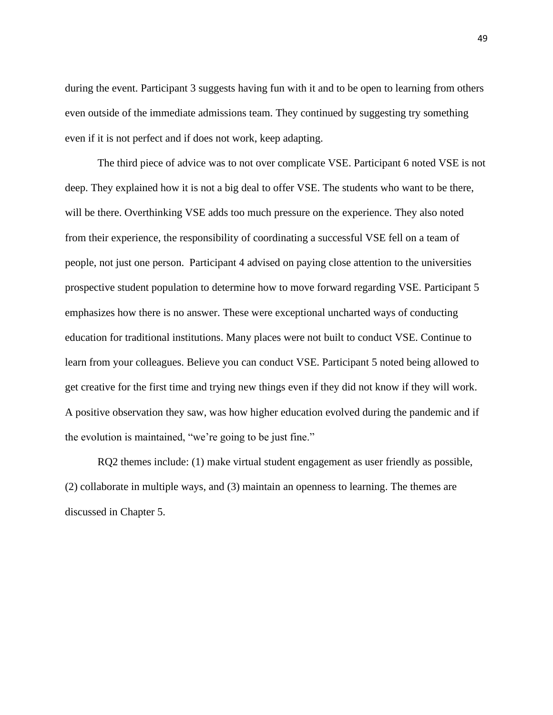during the event. Participant 3 suggests having fun with it and to be open to learning from others even outside of the immediate admissions team. They continued by suggesting try something even if it is not perfect and if does not work, keep adapting.

The third piece of advice was to not over complicate VSE. Participant 6 noted VSE is not deep. They explained how it is not a big deal to offer VSE. The students who want to be there, will be there. Overthinking VSE adds too much pressure on the experience. They also noted from their experience, the responsibility of coordinating a successful VSE fell on a team of people, not just one person. Participant 4 advised on paying close attention to the universities prospective student population to determine how to move forward regarding VSE. Participant 5 emphasizes how there is no answer. These were exceptional uncharted ways of conducting education for traditional institutions. Many places were not built to conduct VSE. Continue to learn from your colleagues. Believe you can conduct VSE. Participant 5 noted being allowed to get creative for the first time and trying new things even if they did not know if they will work. A positive observation they saw, was how higher education evolved during the pandemic and if the evolution is maintained, "we're going to be just fine."

RQ2 themes include: (1) make virtual student engagement as user friendly as possible, (2) collaborate in multiple ways, and (3) maintain an openness to learning. The themes are discussed in Chapter 5.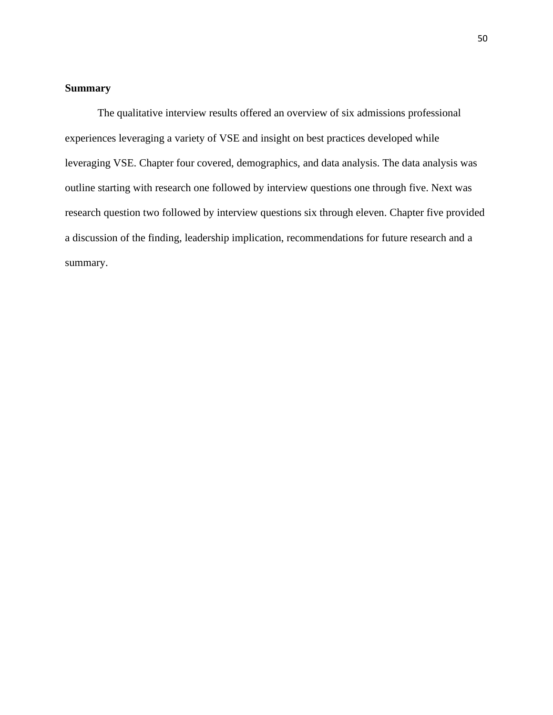# <span id="page-50-0"></span>**Summary**

The qualitative interview results offered an overview of six admissions professional experiences leveraging a variety of VSE and insight on best practices developed while leveraging VSE. Chapter four covered, demographics, and data analysis. The data analysis was outline starting with research one followed by interview questions one through five. Next was research question two followed by interview questions six through eleven. Chapter five provided a discussion of the finding, leadership implication, recommendations for future research and a summary.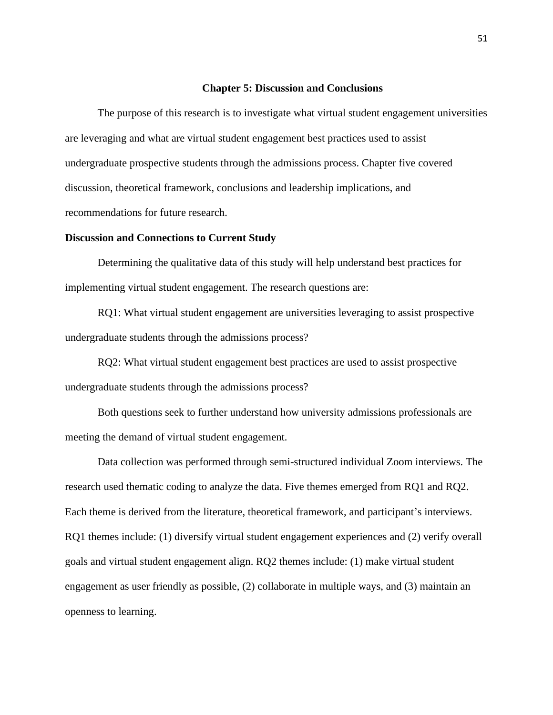#### **Chapter 5: Discussion and Conclusions**

<span id="page-51-0"></span>The purpose of this research is to investigate what virtual student engagement universities are leveraging and what are virtual student engagement best practices used to assist undergraduate prospective students through the admissions process. Chapter five covered discussion, theoretical framework, conclusions and leadership implications, and recommendations for future research.

# <span id="page-51-1"></span>**Discussion and Connections to Current Study**

Determining the qualitative data of this study will help understand best practices for implementing virtual student engagement. The research questions are:

RQ1: What virtual student engagement are universities leveraging to assist prospective undergraduate students through the admissions process?

RQ2: What virtual student engagement best practices are used to assist prospective undergraduate students through the admissions process?

Both questions seek to further understand how university admissions professionals are meeting the demand of virtual student engagement.

Data collection was performed through semi-structured individual Zoom interviews. The research used thematic coding to analyze the data. Five themes emerged from RQ1 and RQ2. Each theme is derived from the literature, theoretical framework, and participant's interviews. RQ1 themes include: (1) diversify virtual student engagement experiences and (2) verify overall goals and virtual student engagement align. RQ2 themes include: (1) make virtual student engagement as user friendly as possible, (2) collaborate in multiple ways, and (3) maintain an openness to learning.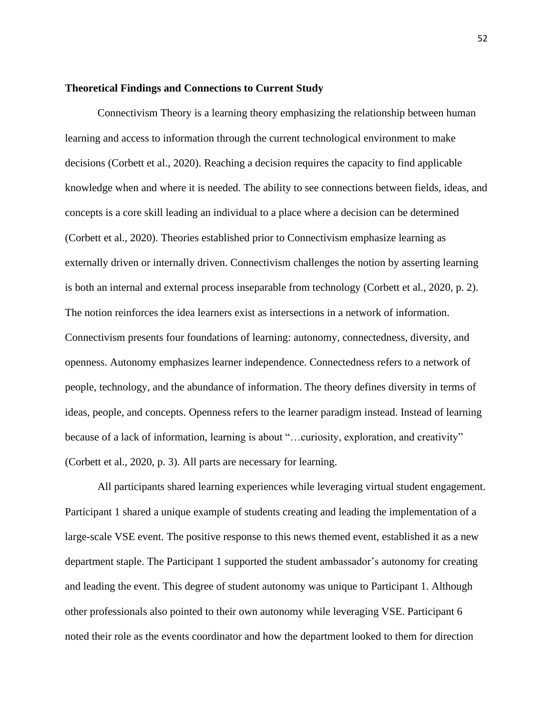#### <span id="page-52-0"></span>**Theoretical Findings and Connections to Current Study**

Connectivism Theory is a learning theory emphasizing the relationship between human learning and access to information through the current technological environment to make decisions (Corbett et al., 2020). Reaching a decision requires the capacity to find applicable knowledge when and where it is needed. The ability to see connections between fields, ideas, and concepts is a core skill leading an individual to a place where a decision can be determined (Corbett et al., 2020). Theories established prior to Connectivism emphasize learning as externally driven or internally driven. Connectivism challenges the notion by asserting learning is both an internal and external process inseparable from technology (Corbett et al., 2020, p. 2). The notion reinforces the idea learners exist as intersections in a network of information. Connectivism presents four foundations of learning: autonomy, connectedness, diversity, and openness. Autonomy emphasizes learner independence. Connectedness refers to a network of people, technology, and the abundance of information. The theory defines diversity in terms of ideas, people, and concepts. Openness refers to the learner paradigm instead. Instead of learning because of a lack of information, learning is about "...curiosity, exploration, and creativity" (Corbett et al., 2020, p. 3). All parts are necessary for learning.

All participants shared learning experiences while leveraging virtual student engagement. Participant 1 shared a unique example of students creating and leading the implementation of a large-scale VSE event. The positive response to this news themed event, established it as a new department staple. The Participant 1 supported the student ambassador's autonomy for creating and leading the event. This degree of student autonomy was unique to Participant 1. Although other professionals also pointed to their own autonomy while leveraging VSE. Participant 6 noted their role as the events coordinator and how the department looked to them for direction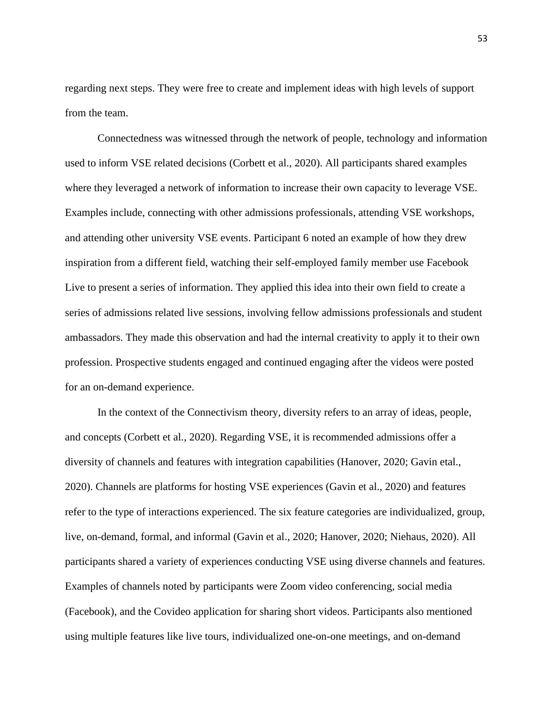regarding next steps. They were free to create and implement ideas with high levels of support from the team.

Connectedness was witnessed through the network of people, technology and information used to inform VSE related decisions (Corbett et al., 2020). All participants shared examples where they leveraged a network of information to increase their own capacity to leverage VSE. Examples include, connecting with other admissions professionals, attending VSE workshops, and attending other university VSE events. Participant 6 noted an example of how they drew inspiration from a different field, watching their self-employed family member use Facebook Live to present a series of information. They applied this idea into their own field to create a series of admissions related live sessions, involving fellow admissions professionals and student ambassadors. They made this observation and had the internal creativity to apply it to their own profession. Prospective students engaged and continued engaging after the videos were posted for an on-demand experience.

In the context of the Connectivism theory, diversity refers to an array of ideas, people, and concepts (Corbett et al., 2020). Regarding VSE, it is recommended admissions offer a diversity of channels and features with integration capabilities (Hanover, 2020; Gavin etal., 2020). Channels are platforms for hosting VSE experiences (Gavin et al., 2020) and features refer to the type of interactions experienced. The six feature categories are individualized, group, live, on-demand, formal, and informal (Gavin et al., 2020; Hanover, 2020; Niehaus, 2020). All participants shared a variety of experiences conducting VSE using diverse channels and features. Examples of channels noted by participants were Zoom video conferencing, social media (Facebook), and the Covideo application for sharing short videos. Participants also mentioned using multiple features like live tours, individualized one-on-one meetings, and on-demand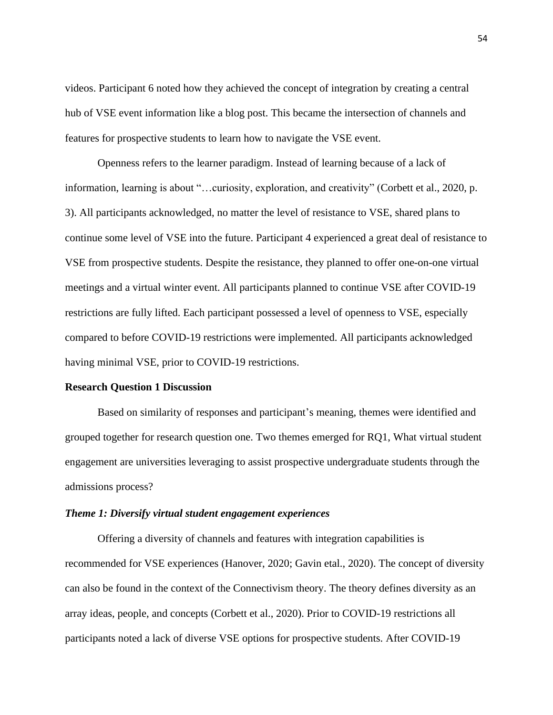videos. Participant 6 noted how they achieved the concept of integration by creating a central hub of VSE event information like a blog post. This became the intersection of channels and features for prospective students to learn how to navigate the VSE event.

Openness refers to the learner paradigm. Instead of learning because of a lack of information, learning is about "…curiosity, exploration, and creativity" (Corbett et al., 2020, p. 3). All participants acknowledged, no matter the level of resistance to VSE, shared plans to continue some level of VSE into the future. Participant 4 experienced a great deal of resistance to VSE from prospective students. Despite the resistance, they planned to offer one-on-one virtual meetings and a virtual winter event. All participants planned to continue VSE after COVID-19 restrictions are fully lifted. Each participant possessed a level of openness to VSE, especially compared to before COVID-19 restrictions were implemented. All participants acknowledged having minimal VSE, prior to COVID-19 restrictions.

# <span id="page-54-0"></span>**Research Question 1 Discussion**

Based on similarity of responses and participant's meaning, themes were identified and grouped together for research question one. Two themes emerged for RQ1, What virtual student engagement are universities leveraging to assist prospective undergraduate students through the admissions process?

#### <span id="page-54-1"></span>*Theme 1: Diversify virtual student engagement experiences*

Offering a diversity of channels and features with integration capabilities is recommended for VSE experiences (Hanover, 2020; Gavin etal., 2020). The concept of diversity can also be found in the context of the Connectivism theory. The theory defines diversity as an array ideas, people, and concepts (Corbett et al., 2020). Prior to COVID-19 restrictions all participants noted a lack of diverse VSE options for prospective students. After COVID-19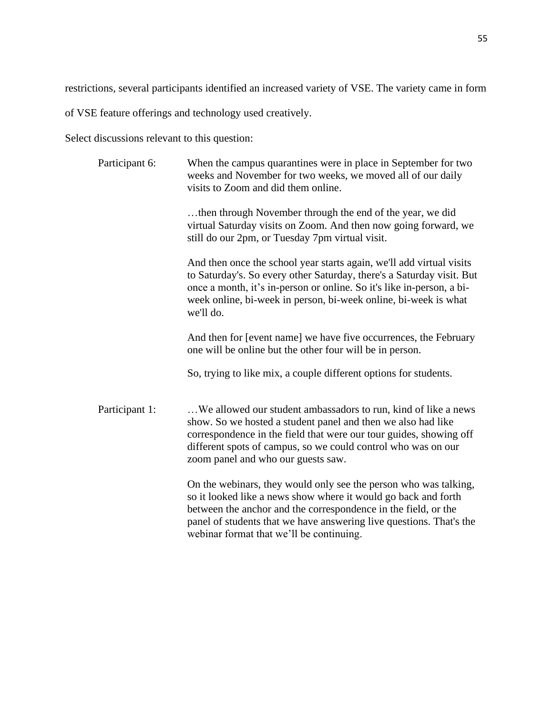restrictions, several participants identified an increased variety of VSE. The variety came in form

of VSE feature offerings and technology used creatively.

Select discussions relevant to this question:

| Participant 6: | When the campus quarantines were in place in September for two<br>weeks and November for two weeks, we moved all of our daily<br>visits to Zoom and did them online.<br>then through November through the end of the year, we did<br>virtual Saturday visits on Zoom. And then now going forward, we<br>still do our 2pm, or Tuesday 7pm virtual visit. |  |  |
|----------------|---------------------------------------------------------------------------------------------------------------------------------------------------------------------------------------------------------------------------------------------------------------------------------------------------------------------------------------------------------|--|--|
|                |                                                                                                                                                                                                                                                                                                                                                         |  |  |
|                | And then once the school year starts again, we'll add virtual visits<br>to Saturday's. So every other Saturday, there's a Saturday visit. But<br>once a month, it's in-person or online. So it's like in-person, a bi-<br>week online, bi-week in person, bi-week online, bi-week is what<br>we'll do.                                                  |  |  |
|                | And then for [event name] we have five occurrences, the February<br>one will be online but the other four will be in person.                                                                                                                                                                                                                            |  |  |
|                | So, trying to like mix, a couple different options for students.                                                                                                                                                                                                                                                                                        |  |  |
| Participant 1: | We allowed our student ambassadors to run, kind of like a news<br>show. So we hosted a student panel and then we also had like<br>correspondence in the field that were our tour guides, showing off<br>different spots of campus, so we could control who was on our<br>zoom panel and who our guests saw.                                             |  |  |
|                | On the webinars, they would only see the person who was talking,<br>so it looked like a news show where it would go back and forth<br>between the anchor and the correspondence in the field, or the<br>panel of students that we have answering live questions. That's the<br>webinar format that we'll be continuing.                                 |  |  |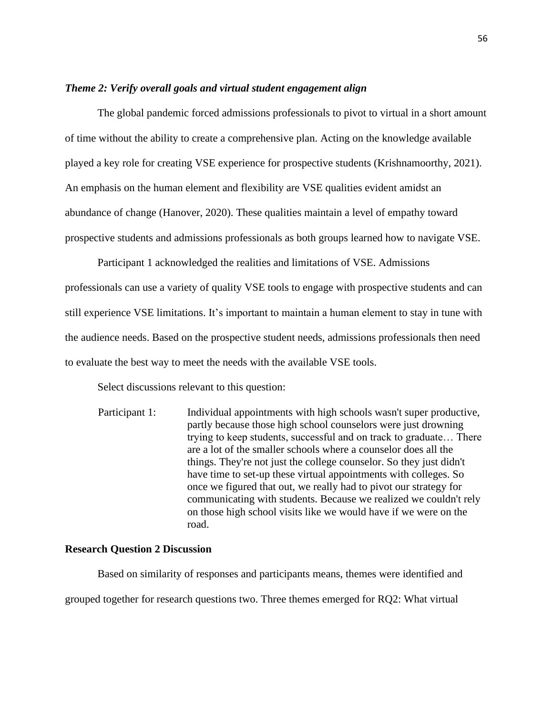### <span id="page-56-0"></span>*Theme 2: Verify overall goals and virtual student engagement align*

The global pandemic forced admissions professionals to pivot to virtual in a short amount of time without the ability to create a comprehensive plan. Acting on the knowledge available played a key role for creating VSE experience for prospective students (Krishnamoorthy, 2021). An emphasis on the human element and flexibility are VSE qualities evident amidst an abundance of change (Hanover, 2020). These qualities maintain a level of empathy toward prospective students and admissions professionals as both groups learned how to navigate VSE.

Participant 1 acknowledged the realities and limitations of VSE. Admissions professionals can use a variety of quality VSE tools to engage with prospective students and can still experience VSE limitations. It's important to maintain a human element to stay in tune with the audience needs. Based on the prospective student needs, admissions professionals then need to evaluate the best way to meet the needs with the available VSE tools.

Select discussions relevant to this question:

Participant 1: Individual appointments with high schools wasn't super productive, partly because those high school counselors were just drowning trying to keep students, successful and on track to graduate… There are a lot of the smaller schools where a counselor does all the things. They're not just the college counselor. So they just didn't have time to set-up these virtual appointments with colleges. So once we figured that out, we really had to pivot our strategy for communicating with students. Because we realized we couldn't rely on those high school visits like we would have if we were on the road.

# <span id="page-56-1"></span>**Research Question 2 Discussion**

Based on similarity of responses and participants means, themes were identified and grouped together for research questions two. Three themes emerged for RQ2: What virtual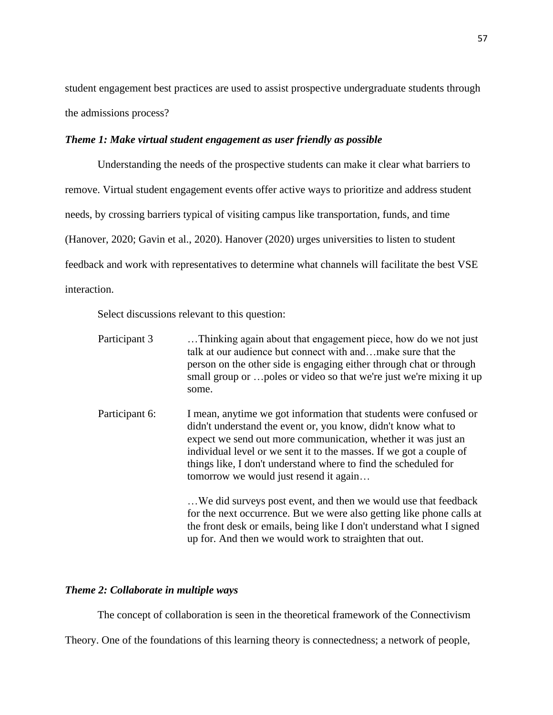student engagement best practices are used to assist prospective undergraduate students through the admissions process?

# <span id="page-57-0"></span>*Theme 1: Make virtual student engagement as user friendly as possible*

Understanding the needs of the prospective students can make it clear what barriers to remove. Virtual student engagement events offer active ways to prioritize and address student needs, by crossing barriers typical of visiting campus like transportation, funds, and time (Hanover, 2020; Gavin et al., 2020). Hanover (2020) urges universities to listen to student feedback and work with representatives to determine what channels will facilitate the best VSE interaction.

Select discussions relevant to this question:

| Participant 3  | Thinking again about that engagement piece, how do we not just<br>talk at our audience but connect with andmake sure that the<br>person on the other side is engaging either through chat or through<br>small group or poles or video so that we're just we're mixing it up<br>some.                                                                                                    |
|----------------|-----------------------------------------------------------------------------------------------------------------------------------------------------------------------------------------------------------------------------------------------------------------------------------------------------------------------------------------------------------------------------------------|
| Participant 6: | I mean, anytime we got information that students were confused or<br>didn't understand the event or, you know, didn't know what to<br>expect we send out more communication, whether it was just an<br>individual level or we sent it to the masses. If we got a couple of<br>things like, I don't understand where to find the scheduled for<br>tomorrow we would just resend it again |
|                | We did surveys post event, and then we would use that feedback<br>for the next occurrence. But we were also getting like phone calls at<br>the front desk or emails, being like I don't understand what I signed<br>up for. And then we would work to straighten that out.                                                                                                              |

# <span id="page-57-1"></span>*Theme 2: Collaborate in multiple ways*

The concept of collaboration is seen in the theoretical framework of the Connectivism

Theory. One of the foundations of this learning theory is connectedness; a network of people,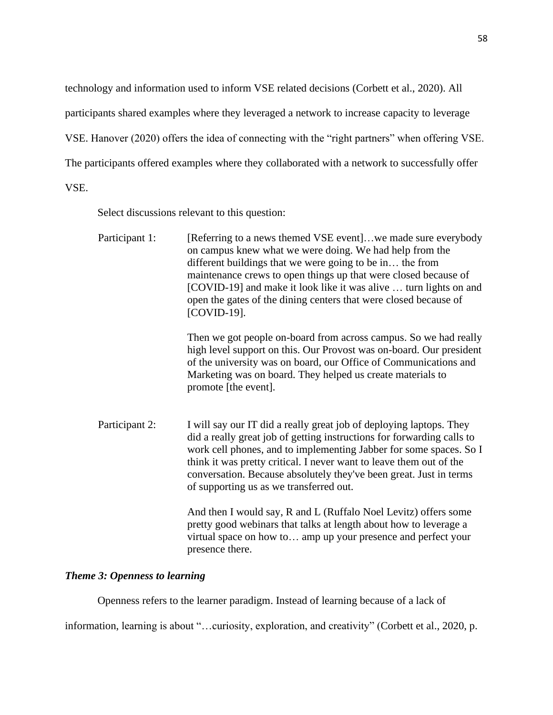technology and information used to inform VSE related decisions (Corbett et al., 2020). All participants shared examples where they leveraged a network to increase capacity to leverage VSE. Hanover (2020) offers the idea of connecting with the "right partners" when offering VSE. The participants offered examples where they collaborated with a network to successfully offer VSE.

Select discussions relevant to this question:

| Participant 1: | [Referring to a news themed VSE event]we made sure everybody<br>on campus knew what we were doing. We had help from the<br>different buildings that we were going to be in the from<br>maintenance crews to open things up that were closed because of<br>[COVID-19] and make it look like it was alive  turn lights on and<br>open the gates of the dining centers that were closed because of<br>[COVID-19]. |  |
|----------------|----------------------------------------------------------------------------------------------------------------------------------------------------------------------------------------------------------------------------------------------------------------------------------------------------------------------------------------------------------------------------------------------------------------|--|
|                | Then we got people on-board from across campus. So we had really<br>high level support on this. Our Provost was on-board. Our president<br>of the university was on board, our Office of Communications and<br>Marketing was on board. They helped us create materials to<br>promote [the event].                                                                                                              |  |
| Participant 2: | I will say our IT did a really great job of deploying laptops. They<br>did a really great job of getting instructions for forwarding calls to<br>work cell phones, and to implementing Jabber for some spaces. So I<br>think it was pretty critical. I never want to leave them out of the<br>conversation. Because absolutely they've been great. Just in terms<br>of supporting us as we transferred out.    |  |
|                | And then I would say, R and L (Ruffalo Noel Levitz) offers some<br>pretty good webinars that talks at length about how to leverage a<br>virtual space on how to amp up your presence and perfect your<br>presence there.                                                                                                                                                                                       |  |

# <span id="page-58-0"></span>*Theme 3: Openness to learning*

Openness refers to the learner paradigm. Instead of learning because of a lack of

information, learning is about "…curiosity, exploration, and creativity" (Corbett et al., 2020, p.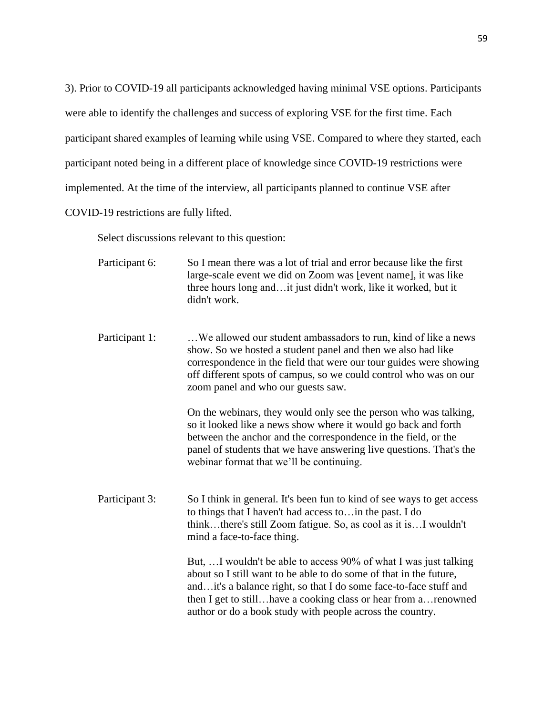3). Prior to COVID-19 all participants acknowledged having minimal VSE options. Participants were able to identify the challenges and success of exploring VSE for the first time. Each participant shared examples of learning while using VSE. Compared to where they started, each participant noted being in a different place of knowledge since COVID-19 restrictions were implemented. At the time of the interview, all participants planned to continue VSE after COVID-19 restrictions are fully lifted.

Select discussions relevant to this question:

Participant 6: So I mean there was a lot of trial and error because like the first large-scale event we did on Zoom was [event name], it was like three hours long and…it just didn't work, like it worked, but it didn't work.

Participant 1: …We allowed our student ambassadors to run, kind of like a news show. So we hosted a student panel and then we also had like correspondence in the field that were our tour guides were showing off different spots of campus, so we could control who was on our zoom panel and who our guests saw.

> On the webinars, they would only see the person who was talking, so it looked like a news show where it would go back and forth between the anchor and the correspondence in the field, or the panel of students that we have answering live questions. That's the webinar format that we'll be continuing.

Participant 3: So I think in general. It's been fun to kind of see ways to get access to things that I haven't had access to…in the past. I do think…there's still Zoom fatigue. So, as cool as it is…I wouldn't mind a face-to-face thing.

> But, …I wouldn't be able to access 90% of what I was just talking about so I still want to be able to do some of that in the future, and…it's a balance right, so that I do some face-to-face stuff and then I get to still…have a cooking class or hear from a…renowned author or do a book study with people across the country.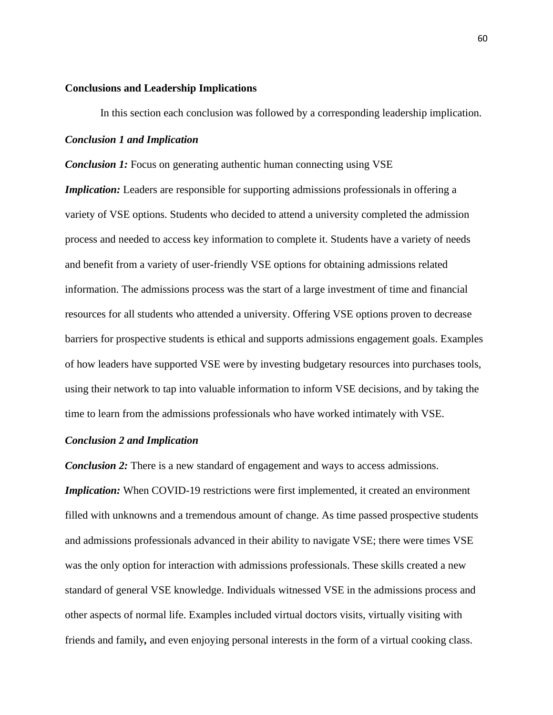#### <span id="page-60-0"></span>**Conclusions and Leadership Implications**

In this section each conclusion was followed by a corresponding leadership implication.

#### <span id="page-60-1"></span>*Conclusion 1 and Implication*

*Conclusion 1:* Focus on generating authentic human connecting using VSE

*Implication:* Leaders are responsible for supporting admissions professionals in offering a variety of VSE options. Students who decided to attend a university completed the admission process and needed to access key information to complete it. Students have a variety of needs and benefit from a variety of user-friendly VSE options for obtaining admissions related information. The admissions process was the start of a large investment of time and financial resources for all students who attended a university. Offering VSE options proven to decrease barriers for prospective students is ethical and supports admissions engagement goals. Examples of how leaders have supported VSE were by investing budgetary resources into purchases tools, using their network to tap into valuable information to inform VSE decisions, and by taking the time to learn from the admissions professionals who have worked intimately with VSE.

#### <span id="page-60-2"></span>*Conclusion 2 and Implication*

*Conclusion 2:* There is a new standard of engagement and ways to access admissions.

*Implication:* When COVID-19 restrictions were first implemented, it created an environment filled with unknowns and a tremendous amount of change. As time passed prospective students and admissions professionals advanced in their ability to navigate VSE; there were times VSE was the only option for interaction with admissions professionals. These skills created a new standard of general VSE knowledge. Individuals witnessed VSE in the admissions process and other aspects of normal life. Examples included virtual doctors visits, virtually visiting with friends and family*,* and even enjoying personal interests in the form of a virtual cooking class.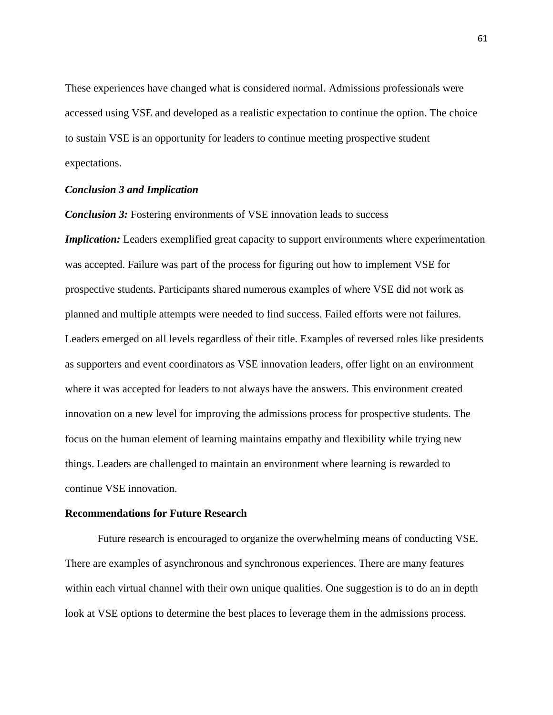These experiences have changed what is considered normal. Admissions professionals were accessed using VSE and developed as a realistic expectation to continue the option. The choice to sustain VSE is an opportunity for leaders to continue meeting prospective student expectations.

### <span id="page-61-0"></span>*Conclusion 3 and Implication*

*Conclusion 3:* Fostering environments of VSE innovation leads to success

*Implication:* Leaders exemplified great capacity to support environments where experimentation was accepted. Failure was part of the process for figuring out how to implement VSE for prospective students. Participants shared numerous examples of where VSE did not work as planned and multiple attempts were needed to find success. Failed efforts were not failures. Leaders emerged on all levels regardless of their title. Examples of reversed roles like presidents as supporters and event coordinators as VSE innovation leaders, offer light on an environment where it was accepted for leaders to not always have the answers. This environment created innovation on a new level for improving the admissions process for prospective students. The focus on the human element of learning maintains empathy and flexibility while trying new things. Leaders are challenged to maintain an environment where learning is rewarded to continue VSE innovation.

#### <span id="page-61-1"></span>**Recommendations for Future Research**

Future research is encouraged to organize the overwhelming means of conducting VSE. There are examples of asynchronous and synchronous experiences. There are many features within each virtual channel with their own unique qualities. One suggestion is to do an in depth look at VSE options to determine the best places to leverage them in the admissions process.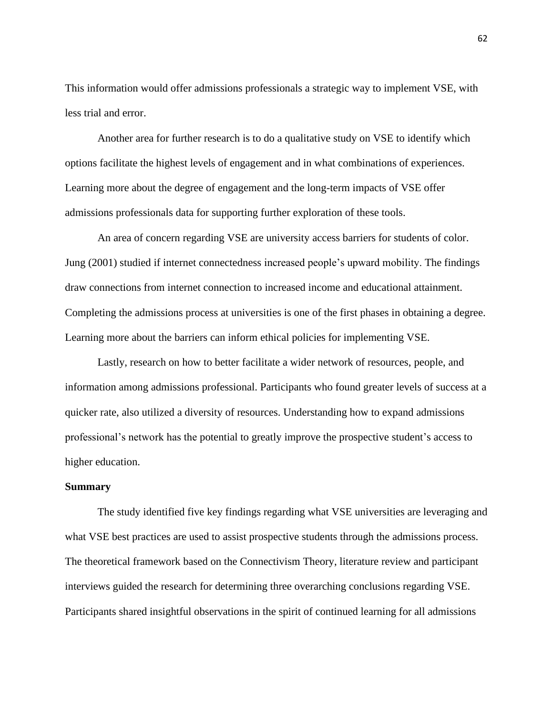This information would offer admissions professionals a strategic way to implement VSE, with less trial and error.

Another area for further research is to do a qualitative study on VSE to identify which options facilitate the highest levels of engagement and in what combinations of experiences. Learning more about the degree of engagement and the long-term impacts of VSE offer admissions professionals data for supporting further exploration of these tools.

An area of concern regarding VSE are university access barriers for students of color. Jung (2001) studied if internet connectedness increased people's upward mobility. The findings draw connections from internet connection to increased income and educational attainment. Completing the admissions process at universities is one of the first phases in obtaining a degree. Learning more about the barriers can inform ethical policies for implementing VSE.

Lastly, research on how to better facilitate a wider network of resources, people, and information among admissions professional. Participants who found greater levels of success at a quicker rate, also utilized a diversity of resources. Understanding how to expand admissions professional's network has the potential to greatly improve the prospective student's access to higher education.

# <span id="page-62-0"></span>**Summary**

The study identified five key findings regarding what VSE universities are leveraging and what VSE best practices are used to assist prospective students through the admissions process. The theoretical framework based on the Connectivism Theory, literature review and participant interviews guided the research for determining three overarching conclusions regarding VSE. Participants shared insightful observations in the spirit of continued learning for all admissions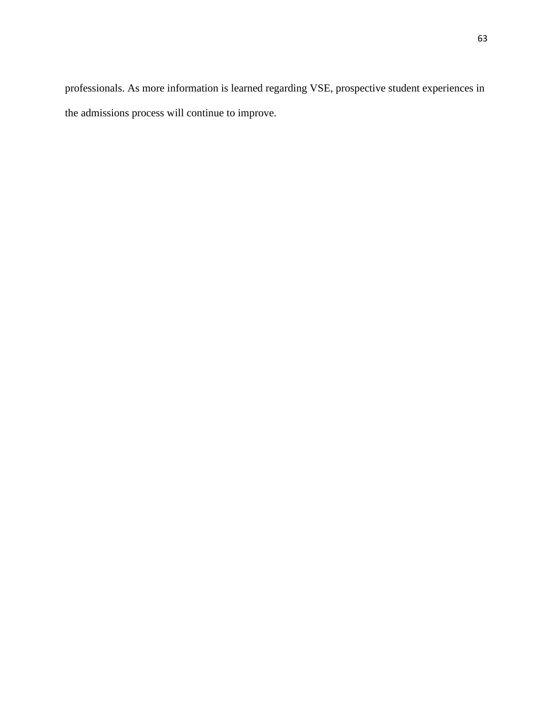professionals. As more information is learned regarding VSE, prospective student experiences in the admissions process will continue to improve.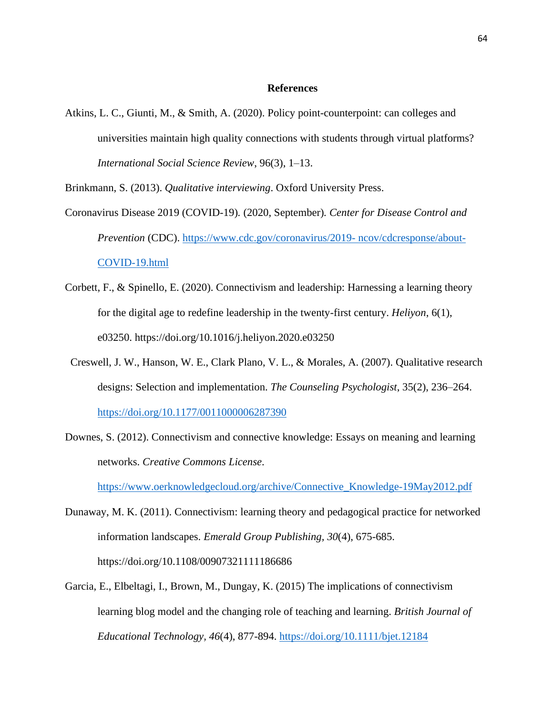#### **References**

<span id="page-64-0"></span>Atkins, L. C., Giunti, M., & Smith, A. (2020). Policy point-counterpoint: can colleges and universities maintain high quality connections with students through virtual platforms? *International Social Science Review*, 96(3), 1–13.

Brinkmann, S. (2013). *Qualitative interviewing*. Oxford University Press.

- Coronavirus Disease 2019 (COVID-19)*.* (2020, September)*. Center for Disease Control and Prevention* (CDC). [https://www.cdc.gov/coronavirus/2019-](https://www.cdc.gov/coronavirus/2019-%20ncov/cdcresponse/about-COVID-19.html) ncov/cdcresponse/about-[COVID-19.html](https://www.cdc.gov/coronavirus/2019-%20ncov/cdcresponse/about-COVID-19.html)
- Corbett, F., & Spinello, E. (2020). Connectivism and leadership: Harnessing a learning theory for the digital age to redefine leadership in the twenty-first century. *Heliyon*, 6(1), e03250. https://doi.org/10.1016/j.heliyon.2020.e03250
- Creswell, J. W., Hanson, W. E., Clark Plano, V. L., & Morales, A. (2007). Qualitative research designs: Selection and implementation. *The Counseling Psychologist*, 35(2), 236–264. <https://doi.org/10.1177/0011000006287390>

Downes, S. (2012). Connectivism and connective knowledge: Essays on meaning and learning networks. *Creative Commons License*.

[https://www.oerknowledgecloud.org/archive/Connective\\_Knowledge-19May2012.pdf](https://www.oerknowledgecloud.org/archive/Connective_Knowledge-19May2012.pdf)

- Dunaway, M. K. (2011). Connectivism: learning theory and pedagogical practice for networked information landscapes. *Emerald Group Publishing, 30*(4), 675-685. <https://doi.org/10.1108/00907321111186686>
- Garcia, E., Elbeltagi, I., Brown, M., Dungay, K. (2015) The implications of connectivism learning blog model and the changing role of teaching and learning. *British Journal of Educational Technology, 46*(4), 877-894.<https://doi.org/10.1111/bjet.12184>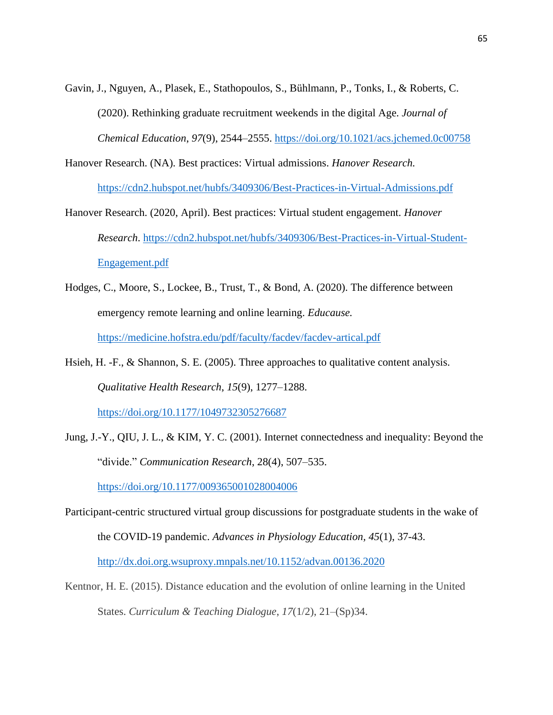Gavin, J., Nguyen, A., Plasek, E., Stathopoulos, S., Bühlmann, P., Tonks, I., & Roberts, C. (2020). Rethinking graduate recruitment weekends in the digital Age. *Journal of Chemical Education*, *97*(9), 2544–2555.<https://doi.org/10.1021/acs.jchemed.0c00758>

Hanover Research. (NA). Best practices: Virtual admissions. *Hanover Research.* <https://cdn2.hubspot.net/hubfs/3409306/Best-Practices-in-Virtual-Admissions.pdf>

- Hanover Research. (2020, April). Best practices: Virtual student engagement. *Hanover Research*. [https://cdn2.hubspot.net/hubfs/3409306/Best-Practices-in-Virtual-Student-](https://cdn2.hubspot.net/hubfs/3409306/Best-Practices-in-Virtual-Student-Engagement.pdf)[Engagement.pdf](https://cdn2.hubspot.net/hubfs/3409306/Best-Practices-in-Virtual-Student-Engagement.pdf)
- Hodges, C., Moore, S., Lockee, B., Trust, T., & Bond, A. (2020). The difference between emergency remote learning and online learning. *Educause.* <https://medicine.hofstra.edu/pdf/faculty/facdev/facdev-artical.pdf>
- Hsieh, H. -F., & Shannon, S. E. (2005). Three approaches to qualitative content analysis. *Qualitative Health Research*, *15*(9), 1277–1288.

<https://doi.org/10.1177/1049732305276687>

Jung, J.-Y., QIU, J. L., & KIM, Y. C. (2001). Internet connectedness and inequality: Beyond the "divide." *Communication Research*, 28(4), 507–535.

<https://doi.org/10.1177/009365001028004006>

- Participant-centric structured virtual group discussions for postgraduate students in the wake of the COVID-19 pandemic. *Advances in Physiology Education, 45*(1), 37-43. <http://dx.doi.org.wsuproxy.mnpals.net/10.1152/advan.00136.2020>
- Kentnor, H. E. (2015). Distance education and the evolution of online learning in the United States. *Curriculum & Teaching Dialogue*, *17*(1/2), 21–(Sp)34.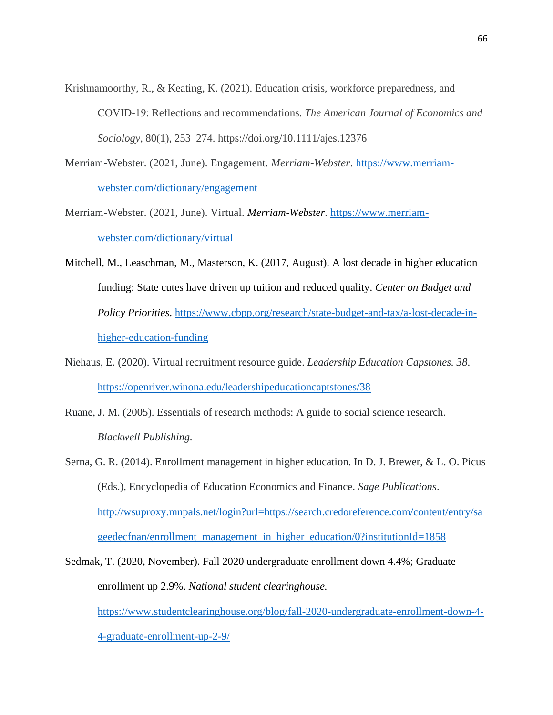- Krishnamoorthy, R., & Keating, K. (2021). Education crisis, workforce preparedness, and COVID‐19: Reflections and recommendations. *The American Journal of Economics and Sociology*, 80(1), 253–274. https://doi.org/10.1111/ajes.12376
- Merriam-Webster. (2021, June). Engagement. *Merriam-Webster*. https://www.merriamwebster.com/dictionary/engagement
- Merriam-Webster. (2021, June). Virtual. *Merriam-Webster*. https://www.merriamwebster.com/dictionary/virtual
- Mitchell, M., Leaschman, M., Masterson, K. (2017, August). A lost decade in higher education funding: State cutes have driven up tuition and reduced quality. *Center on Budget and Policy Priorities*. https://www.cbpp.org/research/state-budget-and-tax/a-lost-decade-inhigher-education-funding
- Niehaus, E. (2020). Virtual recruitment resource guide. *Leadership Education Capstones. 38*. https://openriver.winona.edu/leadershipeducationcaptstones/38
- Ruane, J. M. (2005). Essentials of research methods: A guide to social science research. *Blackwell Publishing.*
- Serna, G. R. (2014). Enrollment management in higher education. In D. J. Brewer, & L. O. Picus (Eds.), Encyclopedia of Education Economics and Finance. *Sage Publications*. http://wsuproxy.mnpals.net/login?url=https://search.credoreference.com/content/entry/sa geedecfnan/enrollment\_management\_in\_higher\_education/0?institutionId=1858

Sedmak, T. (2020, November). Fall 2020 undergraduate enrollment down 4.4%; Graduate enrollment up 2.9%. *National student clearinghouse.* https://www.studentclearinghouse.org/blog/fall-2020-undergraduate-enrollment-down-4- 4-graduate-enrollment-up-2-9/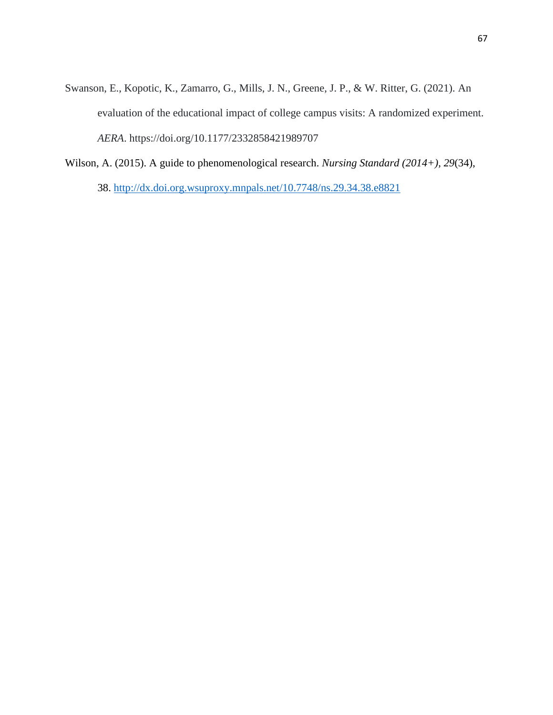- Swanson, E., Kopotic, K., Zamarro, G., Mills, J. N., Greene, J. P., & W. Ritter, G. (2021). An evaluation of the educational impact of college campus visits: A randomized experiment. *AERA*. https://doi.org/10.1177/2332858421989707
- Wilson, A. (2015). A guide to phenomenological research. *Nursing Standard (2014+), 29*(34), 38. http://dx.doi.org.wsuproxy.mnpals.net/10.7748/ns.29.34.38.e8821